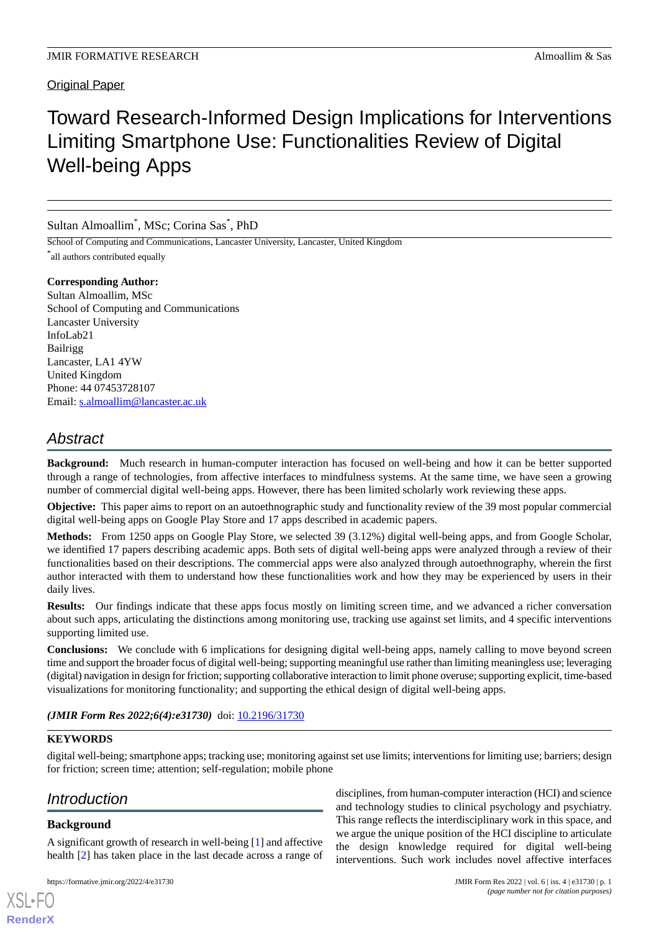### Original Paper

# Toward Research-Informed Design Implications for Interventions Limiting Smartphone Use: Functionalities Review of Digital Well-being Apps

#### Sultan Almoallim\* , MSc; Corina Sas\* , PhD

School of Computing and Communications, Lancaster University, Lancaster, United Kingdom \* all authors contributed equally

#### **Corresponding Author:**

Sultan Almoallim, MSc School of Computing and Communications Lancaster University InfoLab21 Bailrigg Lancaster, LA1 4YW United Kingdom Phone: 44 07453728107 Email: [s.almoallim@lancaster.ac.uk](mailto:s.almoallim@lancaster.ac.uk)

## *Abstract*

**Background:** Much research in human-computer interaction has focused on well-being and how it can be better supported through a range of technologies, from affective interfaces to mindfulness systems. At the same time, we have seen a growing number of commercial digital well-being apps. However, there has been limited scholarly work reviewing these apps.

**Objective:** This paper aims to report on an autoethnographic study and functionality review of the 39 most popular commercial digital well-being apps on Google Play Store and 17 apps described in academic papers.

**Methods:** From 1250 apps on Google Play Store, we selected 39 (3.12%) digital well-being apps, and from Google Scholar, we identified 17 papers describing academic apps. Both sets of digital well-being apps were analyzed through a review of their functionalities based on their descriptions. The commercial apps were also analyzed through autoethnography, wherein the first author interacted with them to understand how these functionalities work and how they may be experienced by users in their daily lives.

**Results:** Our findings indicate that these apps focus mostly on limiting screen time, and we advanced a richer conversation about such apps, articulating the distinctions among monitoring use, tracking use against set limits, and 4 specific interventions supporting limited use.

**Conclusions:** We conclude with 6 implications for designing digital well-being apps, namely calling to move beyond screen time and support the broader focus of digital well-being; supporting meaningful use rather than limiting meaningless use; leveraging (digital) navigation in design for friction; supporting collaborative interaction to limit phone overuse; supporting explicit, time-based visualizations for monitoring functionality; and supporting the ethical design of digital well-being apps.

#### (JMIR Form Res 2022;6(4):e31730) doi: [10.2196/31730](http://dx.doi.org/10.2196/31730)

#### **KEYWORDS**

digital well-being; smartphone apps; tracking use; monitoring against set use limits; interventions for limiting use; barriers; design for friction; screen time; attention; self-regulation; mobile phone

## *Introduction*

#### **Background**

[XSL](http://www.w3.org/Style/XSL)•FO **[RenderX](http://www.renderx.com/)**

A significant growth of research in well-being [\[1](#page-13-0)] and affective health [\[2](#page-13-1)] has taken place in the last decade across a range of

disciplines, from human-computer interaction (HCI) and science and technology studies to clinical psychology and psychiatry. This range reflects the interdisciplinary work in this space, and we argue the unique position of the HCI discipline to articulate the design knowledge required for digital well-being interventions. Such work includes novel affective interfaces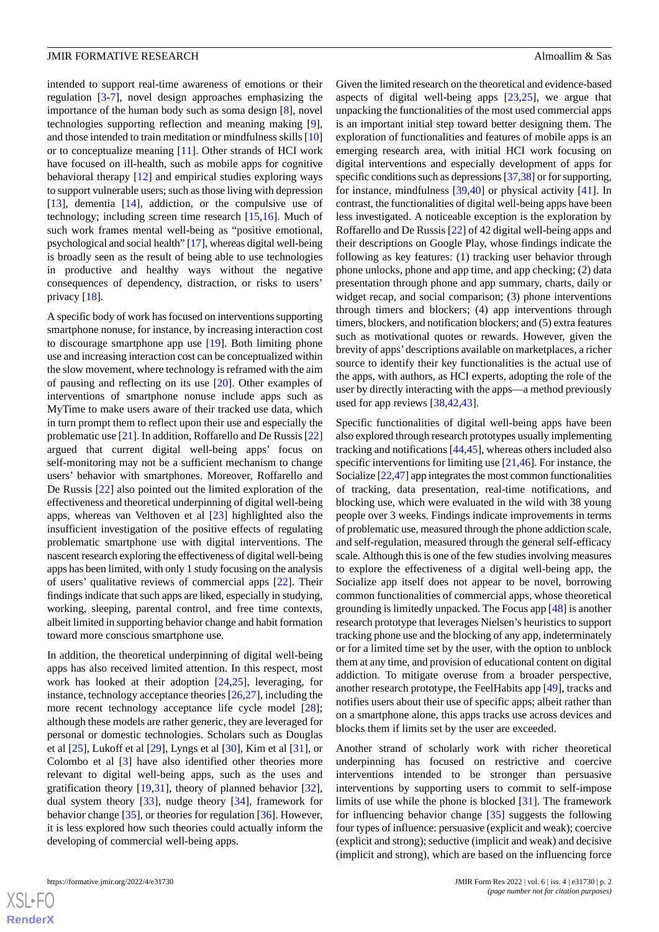intended to support real-time awareness of emotions or their regulation [\[3](#page-13-2)-[7\]](#page-13-3), novel design approaches emphasizing the importance of the human body such as soma design [\[8](#page-13-4)], novel technologies supporting reflection and meaning making [[9\]](#page-13-5), and those intended to train meditation or mindfulness skills [\[10](#page-13-6)] or to conceptualize meaning [[11\]](#page-13-7). Other strands of HCI work have focused on ill-health, such as mobile apps for cognitive behavioral therapy [\[12](#page-13-8)] and empirical studies exploring ways to support vulnerable users; such as those living with depression [[13\]](#page-13-9), dementia [\[14](#page-13-10)], addiction, or the compulsive use of technology; including screen time research [[15,](#page-13-11)[16](#page-13-12)]. Much of such work frames mental well-being as "positive emotional, psychological and social health" [\[17\]](#page-13-13), whereas digital well-being is broadly seen as the result of being able to use technologies in productive and healthy ways without the negative consequences of dependency, distraction, or risks to users' privacy [[18\]](#page-13-14).

A specific body of work has focused on interventions supporting smartphone nonuse, for instance, by increasing interaction cost to discourage smartphone app use [\[19](#page-14-0)]. Both limiting phone use and increasing interaction cost can be conceptualized within the slow movement, where technology is reframed with the aim of pausing and reflecting on its use [\[20](#page-14-1)]. Other examples of interventions of smartphone nonuse include apps such as MyTime to make users aware of their tracked use data, which in turn prompt them to reflect upon their use and especially the problematic use [\[21](#page-14-2)]. In addition, Roffarello and De Russis [\[22](#page-14-3)] argued that current digital well-being apps' focus on self-monitoring may not be a sufficient mechanism to change users' behavior with smartphones. Moreover, Roffarello and De Russis [[22\]](#page-14-3) also pointed out the limited exploration of the effectiveness and theoretical underpinning of digital well-being apps, whereas van Velthoven et al [\[23](#page-14-4)] highlighted also the insufficient investigation of the positive effects of regulating problematic smartphone use with digital interventions. The nascent research exploring the effectiveness of digital well-being apps has been limited, with only 1 study focusing on the analysis of users' qualitative reviews of commercial apps [\[22](#page-14-3)]. Their findings indicate that such apps are liked, especially in studying, working, sleeping, parental control, and free time contexts, albeit limited in supporting behavior change and habit formation toward more conscious smartphone use.

In addition, the theoretical underpinning of digital well-being apps has also received limited attention. In this respect, most work has looked at their adoption [\[24](#page-14-5),[25\]](#page-14-6), leveraging, for instance, technology acceptance theories [\[26](#page-14-7),[27\]](#page-14-8), including the more recent technology acceptance life cycle model [[28\]](#page-14-9); although these models are rather generic, they are leveraged for personal or domestic technologies. Scholars such as Douglas et al [\[25](#page-14-6)], Lukoff et al [\[29](#page-14-10)], Lyngs et al [[30\]](#page-14-11), Kim et al [\[31](#page-14-12)], or Colombo et al [[3\]](#page-13-2) have also identified other theories more relevant to digital well-being apps, such as the uses and gratification theory [[19](#page-14-0)[,31](#page-14-12)], theory of planned behavior [[32\]](#page-14-13), dual system theory [[33\]](#page-14-14), nudge theory [[34\]](#page-14-15), framework for behavior change [\[35](#page-14-16)], or theories for regulation [[36\]](#page-14-17). However, it is less explored how such theories could actually inform the developing of commercial well-being apps.

Given the limited research on the theoretical and evidence-based aspects of digital well-being apps [[23](#page-14-4)[,25](#page-14-6)], we argue that unpacking the functionalities of the most used commercial apps is an important initial step toward better designing them. The exploration of functionalities and features of mobile apps is an emerging research area, with initial HCI work focusing on digital interventions and especially development of apps for specific conditions such as depressions [\[37](#page-14-18)[,38](#page-14-19)] or for supporting, for instance, mindfulness [\[39](#page-14-20),[40\]](#page-14-21) or physical activity [\[41](#page-14-22)]. In contrast, the functionalities of digital well-being apps have been less investigated. A noticeable exception is the exploration by Roffarello and De Russis [[22\]](#page-14-3) of 42 digital well-being apps and their descriptions on Google Play, whose findings indicate the following as key features: (1) tracking user behavior through phone unlocks, phone and app time, and app checking; (2) data presentation through phone and app summary, charts, daily or widget recap, and social comparison; (3) phone interventions through timers and blockers; (4) app interventions through timers, blockers, and notification blockers; and (5) extra features such as motivational quotes or rewards. However, given the brevity of apps'descriptions available on marketplaces, a richer source to identify their key functionalities is the actual use of the apps, with authors, as HCI experts, adopting the role of the user by directly interacting with the apps—a method previously used for app reviews [[38](#page-14-19)[,42](#page-15-0),[43\]](#page-15-1).

Specific functionalities of digital well-being apps have been also explored through research prototypes usually implementing tracking and notifications [\[44](#page-15-2),[45\]](#page-15-3), whereas others included also specific interventions for limiting use [[21,](#page-14-2)[46\]](#page-15-4). For instance, the Socialize [\[22](#page-14-3)[,47](#page-15-5)] app integrates the most common functionalities of tracking, data presentation, real-time notifications, and blocking use, which were evaluated in the wild with 38 young people over 3 weeks. Findings indicate improvements in terms of problematic use, measured through the phone addiction scale, and self-regulation, measured through the general self-efficacy scale. Although this is one of the few studies involving measures to explore the effectiveness of a digital well-being app, the Socialize app itself does not appear to be novel, borrowing common functionalities of commercial apps, whose theoretical grounding is limitedly unpacked. The Focus app [[48\]](#page-15-6) is another research prototype that leverages Nielsen's heuristics to support tracking phone use and the blocking of any app, indeterminately or for a limited time set by the user, with the option to unblock them at any time, and provision of educational content on digital addiction. To mitigate overuse from a broader perspective, another research prototype, the FeelHabits app [\[49](#page-15-7)], tracks and notifies users about their use of specific apps; albeit rather than on a smartphone alone, this apps tracks use across devices and blocks them if limits set by the user are exceeded.

Another strand of scholarly work with richer theoretical underpinning has focused on restrictive and coercive interventions intended to be stronger than persuasive interventions by supporting users to commit to self-impose limits of use while the phone is blocked [[31\]](#page-14-12). The framework for influencing behavior change [[35\]](#page-14-16) suggests the following four types of influence: persuasive (explicit and weak); coercive (explicit and strong); seductive (implicit and weak) and decisive (implicit and strong), which are based on the influencing force



 $XS$  $\cdot$ FC **[RenderX](http://www.renderx.com/)**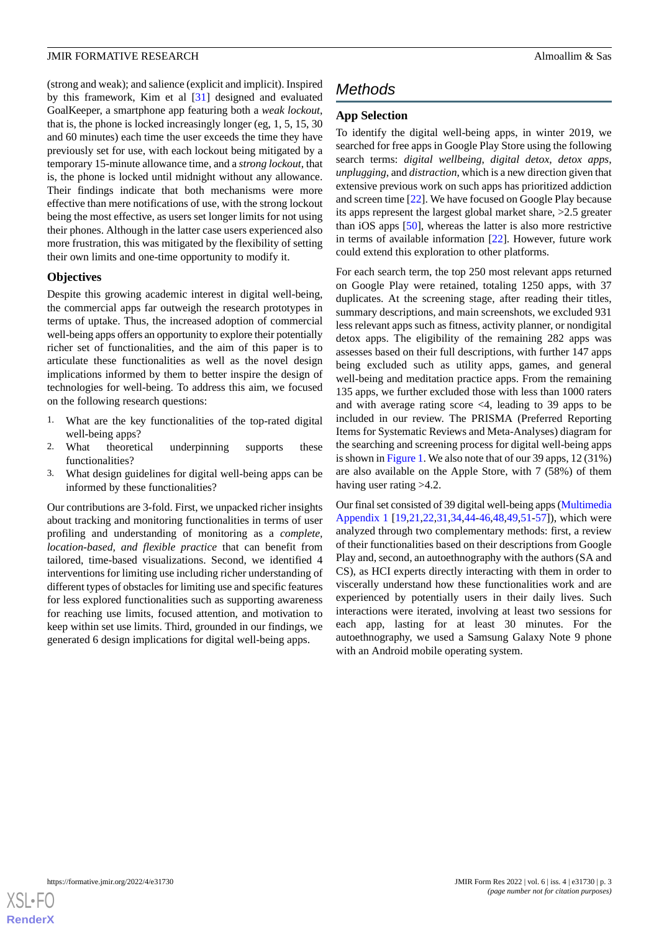(strong and weak); and salience (explicit and implicit). Inspired by this framework, Kim et al [\[31](#page-14-12)] designed and evaluated GoalKeeper, a smartphone app featuring both a *weak lockout*, that is, the phone is locked increasingly longer (eg, 1, 5, 15, 30 and 60 minutes) each time the user exceeds the time they have previously set for use, with each lockout being mitigated by a temporary 15-minute allowance time, and a *strong lockout*, that is, the phone is locked until midnight without any allowance. Their findings indicate that both mechanisms were more effective than mere notifications of use, with the strong lockout being the most effective, as users set longer limits for not using their phones. Although in the latter case users experienced also more frustration, this was mitigated by the flexibility of setting their own limits and one-time opportunity to modify it.

#### **Objectives**

Despite this growing academic interest in digital well-being, the commercial apps far outweigh the research prototypes in terms of uptake. Thus, the increased adoption of commercial well-being apps offers an opportunity to explore their potentially richer set of functionalities, and the aim of this paper is to articulate these functionalities as well as the novel design implications informed by them to better inspire the design of technologies for well-being. To address this aim, we focused on the following research questions:

- 1. What are the key functionalities of the top-rated digital well-being apps?
- 2. What theoretical underpinning supports these functionalities?
- 3. What design guidelines for digital well-being apps can be informed by these functionalities?

Our contributions are 3-fold. First, we unpacked richer insights about tracking and monitoring functionalities in terms of user profiling and understanding of monitoring as a *complete, location-based, and flexible practice* that can benefit from tailored, time-based visualizations. Second, we identified 4 interventions for limiting use including richer understanding of different types of obstacles for limiting use and specific features for less explored functionalities such as supporting awareness for reaching use limits, focused attention, and motivation to keep within set use limits. Third, grounded in our findings, we generated 6 design implications for digital well-being apps.

## *Methods*

#### **App Selection**

To identify the digital well-being apps, in winter 2019, we searched for free apps in Google Play Store using the following search terms: *digital wellbeing*, *digital detox*, *detox apps*, *unplugging*, and *distraction*, which is a new direction given that extensive previous work on such apps has prioritized addiction and screen time [[22\]](#page-14-3). We have focused on Google Play because its apps represent the largest global market share, >2.5 greater than iOS apps [\[50](#page-15-8)], whereas the latter is also more restrictive in terms of available information [[22\]](#page-14-3). However, future work could extend this exploration to other platforms.

For each search term, the top 250 most relevant apps returned on Google Play were retained, totaling 1250 apps, with 37 duplicates. At the screening stage, after reading their titles, summary descriptions, and main screenshots, we excluded 931 less relevant apps such as fitness, activity planner, or nondigital detox apps. The eligibility of the remaining 282 apps was assesses based on their full descriptions, with further 147 apps being excluded such as utility apps, games, and general well-being and meditation practice apps. From the remaining 135 apps, we further excluded those with less than 1000 raters and with average rating score <4, leading to 39 apps to be included in our review. The PRISMA (Preferred Reporting Items for Systematic Reviews and Meta-Analyses) diagram for the searching and screening process for digital well-being apps is shown in [Figure 1.](#page-3-0) We also note that of our 39 apps, 12 (31%) are also available on the Apple Store, with 7 (58%) of them having user rating  $>4.2$ .

Our final set consisted of 39 digital well-being apps [\(Multimedia](#page-12-0) [Appendix 1](#page-12-0) [\[19](#page-14-0),[21,](#page-14-2)[22](#page-14-3),[31,](#page-14-12)[34](#page-14-15),[44-](#page-15-2)[46](#page-15-4),[48,](#page-15-6)[49](#page-15-7),[51-](#page-15-9)[57\]](#page-15-10)), which were analyzed through two complementary methods: first, a review of their functionalities based on their descriptions from Google Play and, second, an autoethnography with the authors (SA and CS), as HCI experts directly interacting with them in order to viscerally understand how these functionalities work and are experienced by potentially users in their daily lives. Such interactions were iterated, involving at least two sessions for each app, lasting for at least 30 minutes. For the autoethnography, we used a Samsung Galaxy Note 9 phone with an Android mobile operating system.

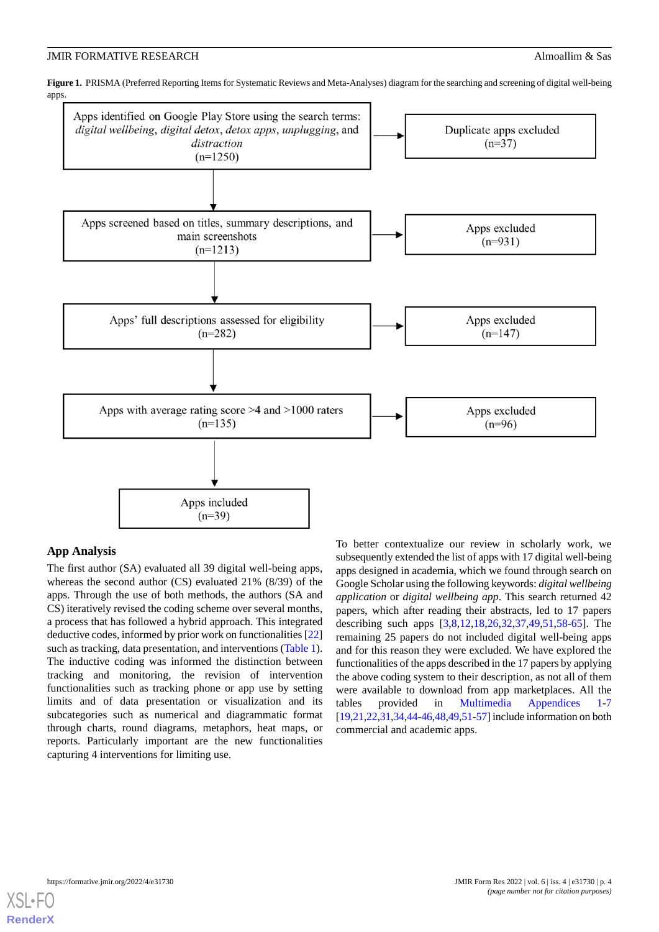<span id="page-3-0"></span>Figure 1. PRISMA (Preferred Reporting Items for Systematic Reviews and Meta-Analyses) diagram for the searching and screening of digital well-being apps.



#### **App Analysis**

The first author (SA) evaluated all 39 digital well-being apps, whereas the second author (CS) evaluated 21% (8/39) of the apps. Through the use of both methods, the authors (SA and CS) iteratively revised the coding scheme over several months, a process that has followed a hybrid approach. This integrated deductive codes, informed by prior work on functionalities [\[22](#page-14-3)] such as tracking, data presentation, and interventions ([Table 1\)](#page-4-0). The inductive coding was informed the distinction between tracking and monitoring, the revision of intervention functionalities such as tracking phone or app use by setting limits and of data presentation or visualization and its subcategories such as numerical and diagrammatic format through charts, round diagrams, metaphors, heat maps, or reports. Particularly important are the new functionalities capturing 4 interventions for limiting use.

To better contextualize our review in scholarly work, we subsequently extended the list of apps with 17 digital well-being apps designed in academia, which we found through search on Google Scholar using the following keywords: *digital wellbeing application* or *digital wellbeing app*. This search returned 42 papers, which after reading their abstracts, led to 17 papers describing such apps [\[3,](#page-13-2)[8,](#page-13-4)[12,](#page-13-8)[18](#page-13-14)[,26](#page-14-7),[32,](#page-14-13)[37,](#page-14-18)[49](#page-15-7)[,51](#page-15-9),[58](#page-15-11)[-65](#page-16-0)]. The remaining 25 papers do not included digital well-being apps and for this reason they were excluded. We have explored the functionalities of the apps described in the 17 papers by applying the above coding system to their description, as not all of them were available to download from app marketplaces. All the tables provided in [Multimedia Appendices 1](#page-12-0)-[7](#page-13-15) [[19,](#page-14-0)[21](#page-14-2)[,22](#page-14-3)[,31](#page-14-12),[34](#page-14-15),[44-](#page-15-2)[46](#page-15-4)[,48,](#page-15-6)[49](#page-15-7)[,51](#page-15-9)[-57](#page-15-10)] include information on both commercial and academic apps.

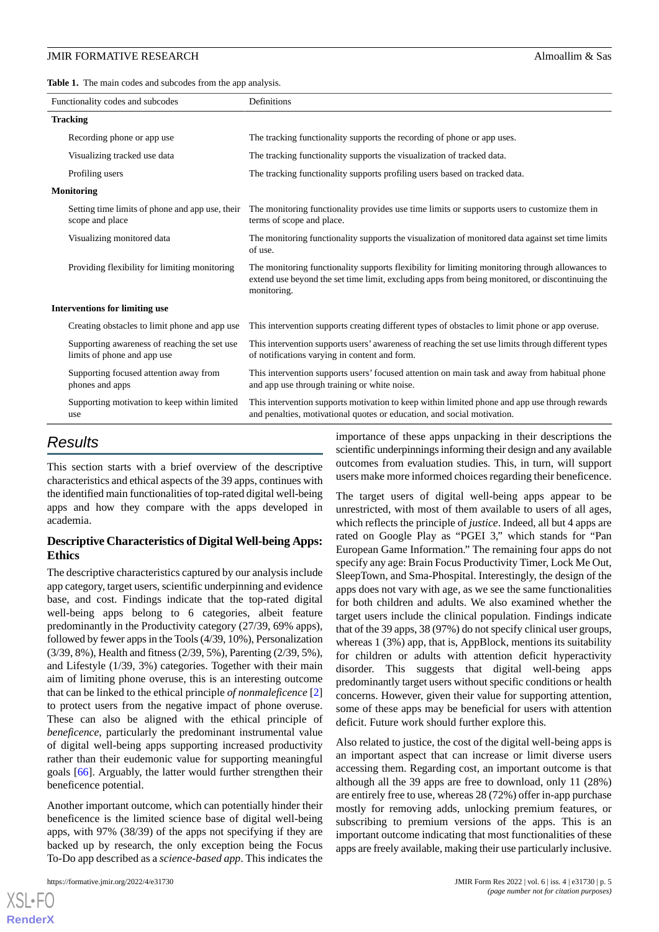<span id="page-4-0"></span>Table 1. The main codes and subcodes from the app analysis.

| Functionality codes and subcodes                                            | Definitions                                                                                                                                                                                                       |
|-----------------------------------------------------------------------------|-------------------------------------------------------------------------------------------------------------------------------------------------------------------------------------------------------------------|
| <b>Tracking</b>                                                             |                                                                                                                                                                                                                   |
| Recording phone or app use                                                  | The tracking functionality supports the recording of phone or app uses.                                                                                                                                           |
| Visualizing tracked use data                                                | The tracking functionality supports the visualization of tracked data.                                                                                                                                            |
| Profiling users                                                             | The tracking functionality supports profiling users based on tracked data.                                                                                                                                        |
| <b>Monitoring</b>                                                           |                                                                                                                                                                                                                   |
| Setting time limits of phone and app use, their<br>scope and place          | The monitoring functionality provides use time limits or supports users to customize them in<br>terms of scope and place.                                                                                         |
| Visualizing monitored data                                                  | The monitoring functionality supports the visualization of monitored data against set time limits<br>of use.                                                                                                      |
| Providing flexibility for limiting monitoring                               | The monitoring functionality supports flexibility for limiting monitoring through allowances to<br>extend use beyond the set time limit, excluding apps from being monitored, or discontinuing the<br>monitoring. |
| <b>Interventions for limiting use</b>                                       |                                                                                                                                                                                                                   |
| Creating obstacles to limit phone and app use                               | This intervention supports creating different types of obstacles to limit phone or app overuse.                                                                                                                   |
| Supporting awareness of reaching the set use<br>limits of phone and app use | This intervention supports users' awareness of reaching the set use limits through different types<br>of notifications varying in content and form.                                                               |
| Supporting focused attention away from<br>phones and apps                   | This intervention supports users' focused attention on main task and away from habitual phone<br>and app use through training or white noise.                                                                     |
| Supporting motivation to keep within limited<br>use                         | This intervention supports motivation to keep within limited phone and app use through rewards<br>and penalties, motivational quotes or education, and social motivation.                                         |

## *Results*

This section starts with a brief overview of the descriptive characteristics and ethical aspects of the 39 apps, continues with the identified main functionalities of top-rated digital well-being apps and how they compare with the apps developed in academia.

#### **Descriptive Characteristics of Digital Well-being Apps: Ethics**

The descriptive characteristics captured by our analysis include app category, target users, scientific underpinning and evidence base, and cost. Findings indicate that the top-rated digital well-being apps belong to 6 categories, albeit feature predominantly in the Productivity category (27/39, 69% apps), followed by fewer apps in the Tools (4/39, 10%), Personalization (3/39, 8%), Health and fitness (2/39, 5%), Parenting (2/39, 5%), and Lifestyle (1/39, 3%) categories. Together with their main aim of limiting phone overuse, this is an interesting outcome that can be linked to the ethical principle *of nonmaleficence* [\[2](#page-13-1)] to protect users from the negative impact of phone overuse. These can also be aligned with the ethical principle of *beneficence*, particularly the predominant instrumental value of digital well-being apps supporting increased productivity rather than their eudemonic value for supporting meaningful goals [\[66](#page-16-1)]. Arguably, the latter would further strengthen their beneficence potential.

Another important outcome, which can potentially hinder their beneficence is the limited science base of digital well-being apps, with 97% (38/39) of the apps not specifying if they are backed up by research, the only exception being the Focus To-Do app described as a *science-based app*. This indicates the

 $X$ SL•FO **[RenderX](http://www.renderx.com/)** importance of these apps unpacking in their descriptions the scientific underpinnings informing their design and any available outcomes from evaluation studies. This, in turn, will support users make more informed choices regarding their beneficence.

The target users of digital well-being apps appear to be unrestricted, with most of them available to users of all ages, which reflects the principle of *justice*. Indeed, all but 4 apps are rated on Google Play as "PGEI 3," which stands for "Pan European Game Information." The remaining four apps do not specify any age: Brain Focus Productivity Timer, Lock Me Out, SleepTown, and Sma-Phospital. Interestingly, the design of the apps does not vary with age, as we see the same functionalities for both children and adults. We also examined whether the target users include the clinical population. Findings indicate that of the 39 apps, 38 (97%) do not specify clinical user groups, whereas 1 (3%) app, that is, AppBlock, mentions its suitability for children or adults with attention deficit hyperactivity disorder. This suggests that digital well-being apps predominantly target users without specific conditions or health concerns. However, given their value for supporting attention, some of these apps may be beneficial for users with attention deficit. Future work should further explore this.

Also related to justice, the cost of the digital well-being apps is an important aspect that can increase or limit diverse users accessing them. Regarding cost, an important outcome is that although all the 39 apps are free to download, only 11 (28%) are entirely free to use, whereas 28 (72%) offer in-app purchase mostly for removing adds, unlocking premium features, or subscribing to premium versions of the apps. This is an important outcome indicating that most functionalities of these apps are freely available, making their use particularly inclusive.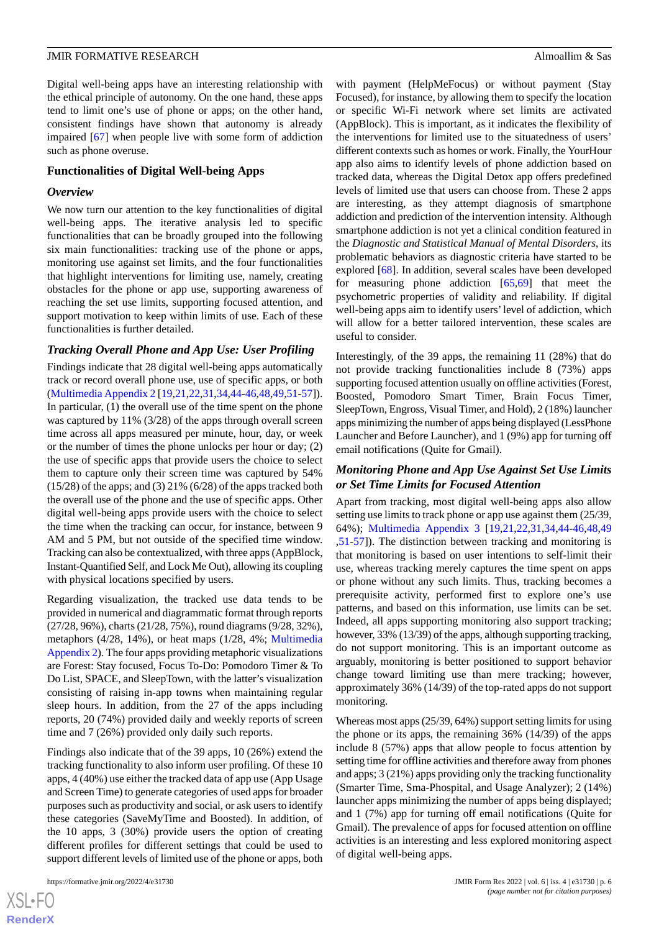Digital well-being apps have an interesting relationship with the ethical principle of autonomy. On the one hand, these apps tend to limit one's use of phone or apps; on the other hand, consistent findings have shown that autonomy is already impaired [[67\]](#page-16-2) when people live with some form of addiction such as phone overuse.

#### **Functionalities of Digital Well-being Apps**

#### *Overview*

We now turn our attention to the key functionalities of digital well-being apps. The iterative analysis led to specific functionalities that can be broadly grouped into the following six main functionalities: tracking use of the phone or apps, monitoring use against set limits, and the four functionalities that highlight interventions for limiting use, namely, creating obstacles for the phone or app use, supporting awareness of reaching the set use limits, supporting focused attention, and support motivation to keep within limits of use. Each of these functionalities is further detailed.

#### *Tracking Overall Phone and App Use: User Profiling*

Findings indicate that 28 digital well-being apps automatically track or record overall phone use, use of specific apps, or both ([Multimedia Appendix 2](#page-12-1) [[19](#page-14-0)[,21](#page-14-2),[22](#page-14-3)[,31](#page-14-12),[34](#page-14-15)[,44](#page-15-2)-[46,](#page-15-4)[48](#page-15-6),[49,](#page-15-7)[51](#page-15-9)[-57](#page-15-10)]). In particular, (1) the overall use of the time spent on the phone was captured by 11% (3/28) of the apps through overall screen time across all apps measured per minute, hour, day, or week or the number of times the phone unlocks per hour or day; (2) the use of specific apps that provide users the choice to select them to capture only their screen time was captured by 54%  $(15/28)$  of the apps; and  $(3)$  21%  $(6/28)$  of the apps tracked both the overall use of the phone and the use of specific apps. Other digital well-being apps provide users with the choice to select the time when the tracking can occur, for instance, between 9 AM and 5 PM, but not outside of the specified time window. Tracking can also be contextualized, with three apps (AppBlock, Instant-Quantified Self, and Lock Me Out), allowing its coupling with physical locations specified by users.

Regarding visualization, the tracked use data tends to be provided in numerical and diagrammatic format through reports (27/28, 96%), charts (21/28, 75%), round diagrams (9/28, 32%), metaphors (4/28, 14%), or heat maps (1/28, 4%; [Multimedia](#page-12-1) [Appendix 2](#page-12-1)). The four apps providing metaphoric visualizations are Forest: Stay focused, Focus To-Do: Pomodoro Timer & To Do List, SPACE, and SleepTown, with the latter's visualization consisting of raising in-app towns when maintaining regular sleep hours. In addition, from the 27 of the apps including reports, 20 (74%) provided daily and weekly reports of screen time and 7 (26%) provided only daily such reports.

Findings also indicate that of the 39 apps, 10 (26%) extend the tracking functionality to also inform user profiling. Of these 10 apps, 4 (40%) use either the tracked data of app use (App Usage and Screen Time) to generate categories of used apps for broader purposes such as productivity and social, or ask users to identify these categories (SaveMyTime and Boosted). In addition, of the 10 apps, 3 (30%) provide users the option of creating different profiles for different settings that could be used to support different levels of limited use of the phone or apps, both

with payment (HelpMeFocus) or without payment (Stay Focused), for instance, by allowing them to specify the location or specific Wi-Fi network where set limits are activated (AppBlock). This is important, as it indicates the flexibility of the interventions for limited use to the situatedness of users' different contexts such as homes or work. Finally, the YourHour app also aims to identify levels of phone addiction based on tracked data, whereas the Digital Detox app offers predefined levels of limited use that users can choose from. These 2 apps are interesting, as they attempt diagnosis of smartphone addiction and prediction of the intervention intensity. Although smartphone addiction is not yet a clinical condition featured in the *Diagnostic and Statistical Manual of Mental Disorders*, its problematic behaviors as diagnostic criteria have started to be explored [\[68](#page-16-3)]. In addition, several scales have been developed for measuring phone addiction [\[65](#page-16-0),[69\]](#page-16-4) that meet the psychometric properties of validity and reliability. If digital well-being apps aim to identify users'level of addiction, which will allow for a better tailored intervention, these scales are useful to consider.

Interestingly, of the 39 apps, the remaining 11 (28%) that do not provide tracking functionalities include 8 (73%) apps supporting focused attention usually on offline activities (Forest, Boosted, Pomodoro Smart Timer, Brain Focus Timer, SleepTown, Engross, Visual Timer, and Hold), 2 (18%) launcher apps minimizing the number of apps being displayed (LessPhone Launcher and Before Launcher), and 1 (9%) app for turning off email notifications (Quite for Gmail).

#### *Monitoring Phone and App Use Against Set Use Limits or Set Time Limits for Focused Attention*

Apart from tracking, most digital well-being apps also allow setting use limits to track phone or app use against them (25/39, 64%); [Multimedia Appendix 3](#page-12-2) [[19](#page-14-0)[,21](#page-14-2),[22](#page-14-3)[,31](#page-14-12),[34](#page-14-15)[,44](#page-15-2)-[46](#page-15-4)[,48](#page-15-6),[49](#page-15-7) [,51](#page-15-9)-[57\]](#page-15-10)). The distinction between tracking and monitoring is that monitoring is based on user intentions to self-limit their use, whereas tracking merely captures the time spent on apps or phone without any such limits. Thus, tracking becomes a prerequisite activity, performed first to explore one's use patterns, and based on this information, use limits can be set. Indeed, all apps supporting monitoring also support tracking; however, 33% (13/39) of the apps, although supporting tracking, do not support monitoring. This is an important outcome as arguably, monitoring is better positioned to support behavior change toward limiting use than mere tracking; however, approximately 36% (14/39) of the top-rated apps do not support monitoring.

Whereas most apps (25/39, 64%) support setting limits for using the phone or its apps, the remaining 36% (14/39) of the apps include 8 (57%) apps that allow people to focus attention by setting time for offline activities and therefore away from phones and apps; 3 (21%) apps providing only the tracking functionality (Smarter Time, Sma-Phospital, and Usage Analyzer); 2 (14%) launcher apps minimizing the number of apps being displayed; and 1 (7%) app for turning off email notifications (Quite for Gmail). The prevalence of apps for focused attention on offline activities is an interesting and less explored monitoring aspect of digital well-being apps.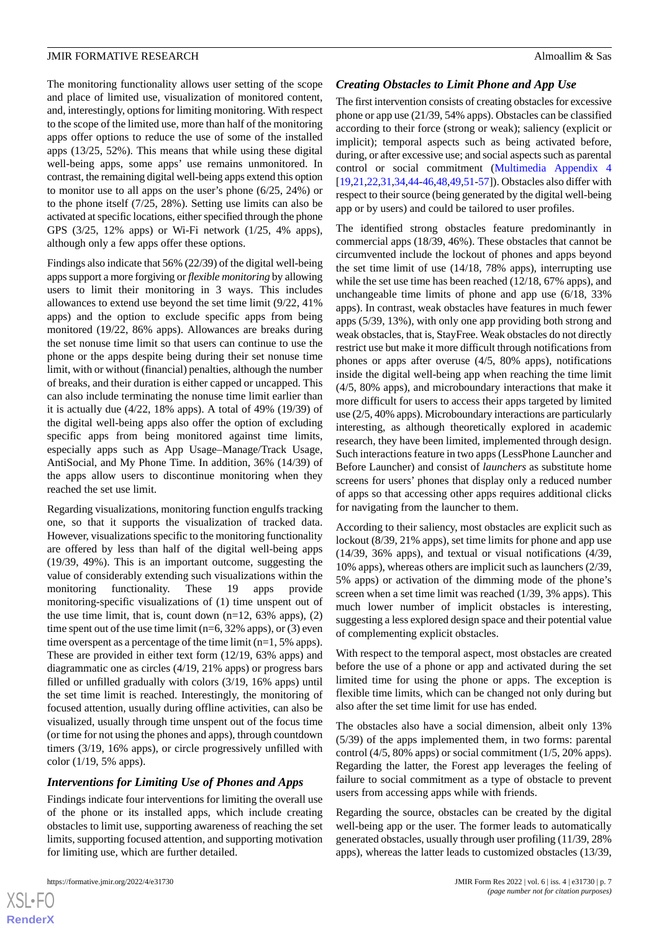The monitoring functionality allows user setting of the scope and place of limited use, visualization of monitored content, and, interestingly, options for limiting monitoring. With respect to the scope of the limited use, more than half of the monitoring apps offer options to reduce the use of some of the installed apps (13/25, 52%). This means that while using these digital well-being apps, some apps' use remains unmonitored. In contrast, the remaining digital well-being apps extend this option to monitor use to all apps on the user's phone (6/25, 24%) or to the phone itself (7/25, 28%). Setting use limits can also be activated at specific locations, either specified through the phone GPS (3/25, 12% apps) or Wi-Fi network (1/25, 4% apps), although only a few apps offer these options.

Findings also indicate that 56% (22/39) of the digital well-being apps support a more forgiving or *flexible monitoring* by allowing users to limit their monitoring in 3 ways. This includes allowances to extend use beyond the set time limit (9/22, 41% apps) and the option to exclude specific apps from being monitored (19/22, 86% apps). Allowances are breaks during the set nonuse time limit so that users can continue to use the phone or the apps despite being during their set nonuse time limit, with or without (financial) penalties, although the number of breaks, and their duration is either capped or uncapped. This can also include terminating the nonuse time limit earlier than it is actually due (4/22, 18% apps). A total of 49% (19/39) of the digital well-being apps also offer the option of excluding specific apps from being monitored against time limits, especially apps such as App Usage–Manage/Track Usage, AntiSocial, and My Phone Time. In addition, 36% (14/39) of the apps allow users to discontinue monitoring when they reached the set use limit.

Regarding visualizations, monitoring function engulfs tracking one, so that it supports the visualization of tracked data. However, visualizations specific to the monitoring functionality are offered by less than half of the digital well-being apps (19/39, 49%). This is an important outcome, suggesting the value of considerably extending such visualizations within the monitoring functionality. These 19 apps provide monitoring-specific visualizations of (1) time unspent out of the use time limit, that is, count down  $(n=12, 63\%$  apps),  $(2)$ time spent out of the use time limit ( $n=6$ , 32% apps), or (3) even time overspent as a percentage of the time limit (n=1, 5% apps). These are provided in either text form (12/19, 63% apps) and diagrammatic one as circles (4/19, 21% apps) or progress bars filled or unfilled gradually with colors (3/19, 16% apps) until the set time limit is reached. Interestingly, the monitoring of focused attention, usually during offline activities, can also be visualized, usually through time unspent out of the focus time (or time for not using the phones and apps), through countdown timers (3/19, 16% apps), or circle progressively unfilled with color (1/19, 5% apps).

#### *Interventions for Limiting Use of Phones and Apps*

Findings indicate four interventions for limiting the overall use of the phone or its installed apps, which include creating obstacles to limit use, supporting awareness of reaching the set limits, supporting focused attention, and supporting motivation for limiting use, which are further detailed.

#### *Creating Obstacles to Limit Phone and App Use*

The first intervention consists of creating obstacles for excessive phone or app use (21/39, 54% apps). Obstacles can be classified according to their force (strong or weak); saliency (explicit or implicit); temporal aspects such as being activated before, during, or after excessive use; and social aspects such as parental control or social commitment ([Multimedia Appendix 4](#page-12-3) [[19](#page-14-0)[,21](#page-14-2),[22,](#page-14-3)[31](#page-14-12)[,34](#page-14-15),[44-](#page-15-2)[46](#page-15-4)[,48](#page-15-6),[49,](#page-15-7)[51](#page-15-9)[-57](#page-15-10)]). Obstacles also differ with respect to their source (being generated by the digital well-being app or by users) and could be tailored to user profiles.

The identified strong obstacles feature predominantly in commercial apps (18/39, 46%). These obstacles that cannot be circumvented include the lockout of phones and apps beyond the set time limit of use (14/18, 78% apps), interrupting use while the set use time has been reached (12/18, 67% apps), and unchangeable time limits of phone and app use (6/18, 33% apps). In contrast, weak obstacles have features in much fewer apps (5/39, 13%), with only one app providing both strong and weak obstacles, that is, StayFree. Weak obstacles do not directly restrict use but make it more difficult through notifications from phones or apps after overuse (4/5, 80% apps), notifications inside the digital well-being app when reaching the time limit (4/5, 80% apps), and microboundary interactions that make it more difficult for users to access their apps targeted by limited use (2/5, 40% apps). Microboundary interactions are particularly interesting, as although theoretically explored in academic research, they have been limited, implemented through design. Such interactions feature in two apps (LessPhone Launcher and Before Launcher) and consist of *launchers* as substitute home screens for users' phones that display only a reduced number of apps so that accessing other apps requires additional clicks for navigating from the launcher to them.

According to their saliency, most obstacles are explicit such as lockout (8/39, 21% apps), set time limits for phone and app use (14/39, 36% apps), and textual or visual notifications (4/39, 10% apps), whereas others are implicit such as launchers (2/39, 5% apps) or activation of the dimming mode of the phone's screen when a set time limit was reached (1/39, 3% apps). This much lower number of implicit obstacles is interesting, suggesting a less explored design space and their potential value of complementing explicit obstacles.

With respect to the temporal aspect, most obstacles are created before the use of a phone or app and activated during the set limited time for using the phone or apps. The exception is flexible time limits, which can be changed not only during but also after the set time limit for use has ended.

The obstacles also have a social dimension, albeit only 13% (5/39) of the apps implemented them, in two forms: parental control (4/5, 80% apps) or social commitment (1/5, 20% apps). Regarding the latter, the Forest app leverages the feeling of failure to social commitment as a type of obstacle to prevent users from accessing apps while with friends.

Regarding the source, obstacles can be created by the digital well-being app or the user. The former leads to automatically generated obstacles, usually through user profiling (11/39, 28% apps), whereas the latter leads to customized obstacles (13/39,

 $XS$ -FO **[RenderX](http://www.renderx.com/)**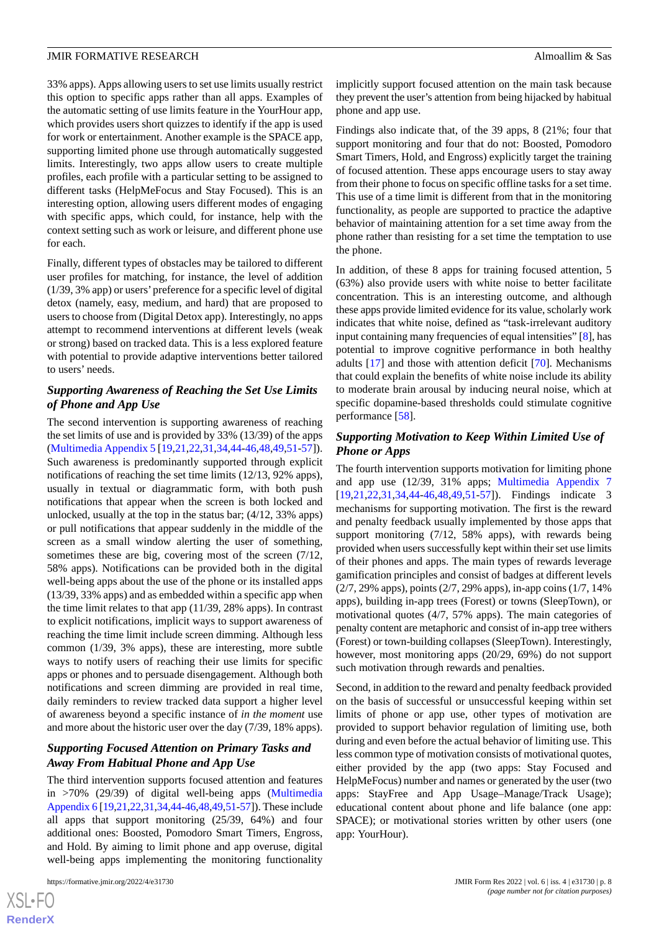33% apps). Apps allowing users to set use limits usually restrict this option to specific apps rather than all apps. Examples of the automatic setting of use limits feature in the YourHour app, which provides users short quizzes to identify if the app is used for work or entertainment. Another example is the SPACE app, supporting limited phone use through automatically suggested limits. Interestingly, two apps allow users to create multiple profiles, each profile with a particular setting to be assigned to different tasks (HelpMeFocus and Stay Focused). This is an interesting option, allowing users different modes of engaging with specific apps, which could, for instance, help with the context setting such as work or leisure, and different phone use for each.

Finally, different types of obstacles may be tailored to different user profiles for matching, for instance, the level of addition (1/39, 3% app) or users'preference for a specific level of digital detox (namely, easy, medium, and hard) that are proposed to users to choose from (Digital Detox app). Interestingly, no apps attempt to recommend interventions at different levels (weak or strong) based on tracked data. This is a less explored feature with potential to provide adaptive interventions better tailored to users' needs.

#### *Supporting Awareness of Reaching the Set Use Limits of Phone and App Use*

The second intervention is supporting awareness of reaching the set limits of use and is provided by 33% (13/39) of the apps ([Multimedia Appendix 5](#page-12-4) [[19](#page-14-0)[,21](#page-14-2),[22](#page-14-3)[,31](#page-14-12),[34](#page-14-15)[,44](#page-15-2)-[46,](#page-15-4)[48](#page-15-6),[49,](#page-15-7)[51](#page-15-9)[-57](#page-15-10)]). Such awareness is predominantly supported through explicit notifications of reaching the set time limits (12/13, 92% apps), usually in textual or diagrammatic form, with both push notifications that appear when the screen is both locked and unlocked, usually at the top in the status bar; (4/12, 33% apps) or pull notifications that appear suddenly in the middle of the screen as a small window alerting the user of something, sometimes these are big, covering most of the screen (7/12, 58% apps). Notifications can be provided both in the digital well-being apps about the use of the phone or its installed apps (13/39, 33% apps) and as embedded within a specific app when the time limit relates to that app (11/39, 28% apps). In contrast to explicit notifications, implicit ways to support awareness of reaching the time limit include screen dimming. Although less common (1/39, 3% apps), these are interesting, more subtle ways to notify users of reaching their use limits for specific apps or phones and to persuade disengagement. Although both notifications and screen dimming are provided in real time, daily reminders to review tracked data support a higher level of awareness beyond a specific instance of *in the moment* use and more about the historic user over the day (7/39, 18% apps).

### *Supporting Focused Attention on Primary Tasks and Away From Habitual Phone and App Use*

The third intervention supports focused attention and features in >70% (29/39) of digital well-being apps ([Multimedia](#page-12-5) [Appendix 6](#page-12-5) [\[19](#page-14-0)[,21](#page-14-2),[22](#page-14-3),[31,](#page-14-12)[34](#page-14-15)[,44](#page-15-2)[-46](#page-15-4)[,48](#page-15-6),[49,](#page-15-7)[51-](#page-15-9)[57\]](#page-15-10)). These include all apps that support monitoring (25/39, 64%) and four additional ones: Boosted, Pomodoro Smart Timers, Engross, and Hold. By aiming to limit phone and app overuse, digital well-being apps implementing the monitoring functionality

[XSL](http://www.w3.org/Style/XSL)•FO **[RenderX](http://www.renderx.com/)** implicitly support focused attention on the main task because they prevent the user's attention from being hijacked by habitual phone and app use.

Findings also indicate that, of the 39 apps, 8 (21%; four that support monitoring and four that do not: Boosted, Pomodoro Smart Timers, Hold, and Engross) explicitly target the training of focused attention. These apps encourage users to stay away from their phone to focus on specific offline tasks for a set time. This use of a time limit is different from that in the monitoring functionality, as people are supported to practice the adaptive behavior of maintaining attention for a set time away from the phone rather than resisting for a set time the temptation to use the phone.

In addition, of these 8 apps for training focused attention, 5 (63%) also provide users with white noise to better facilitate concentration. This is an interesting outcome, and although these apps provide limited evidence for its value, scholarly work indicates that white noise, defined as "task-irrelevant auditory input containing many frequencies of equal intensities" [[8\]](#page-13-4), has potential to improve cognitive performance in both healthy adults [\[17](#page-13-13)] and those with attention deficit [\[70](#page-16-5)]. Mechanisms that could explain the benefits of white noise include its ability to moderate brain arousal by inducing neural noise, which at specific dopamine-based thresholds could stimulate cognitive performance [[58\]](#page-15-11).

#### *Supporting Motivation to Keep Within Limited Use of Phone or Apps*

The fourth intervention supports motivation for limiting phone and app use (12/39, 31% apps; [Multimedia Appendix 7](#page-13-15) [[19,](#page-14-0)[21,](#page-14-2)[22](#page-14-3)[,31](#page-14-12),[34,](#page-14-15)[44-](#page-15-2)[46](#page-15-4)[,48](#page-15-6),[49](#page-15-7)[,51](#page-15-9)-[57\]](#page-15-10)). Findings indicate 3 mechanisms for supporting motivation. The first is the reward and penalty feedback usually implemented by those apps that support monitoring (7/12, 58% apps), with rewards being provided when users successfully kept within their set use limits of their phones and apps. The main types of rewards leverage gamification principles and consist of badges at different levels (2/7, 29% apps), points (2/7, 29% apps), in-app coins (1/7, 14% apps), building in-app trees (Forest) or towns (SleepTown), or motivational quotes (4/7, 57% apps). The main categories of penalty content are metaphoric and consist of in-app tree withers (Forest) or town-building collapses (SleepTown). Interestingly, however, most monitoring apps (20/29, 69%) do not support such motivation through rewards and penalties.

Second, in addition to the reward and penalty feedback provided on the basis of successful or unsuccessful keeping within set limits of phone or app use, other types of motivation are provided to support behavior regulation of limiting use, both during and even before the actual behavior of limiting use. This less common type of motivation consists of motivational quotes, either provided by the app (two apps: Stay Focused and HelpMeFocus) number and names or generated by the user (two apps: StayFree and App Usage–Manage/Track Usage); educational content about phone and life balance (one app: SPACE); or motivational stories written by other users (one app: YourHour).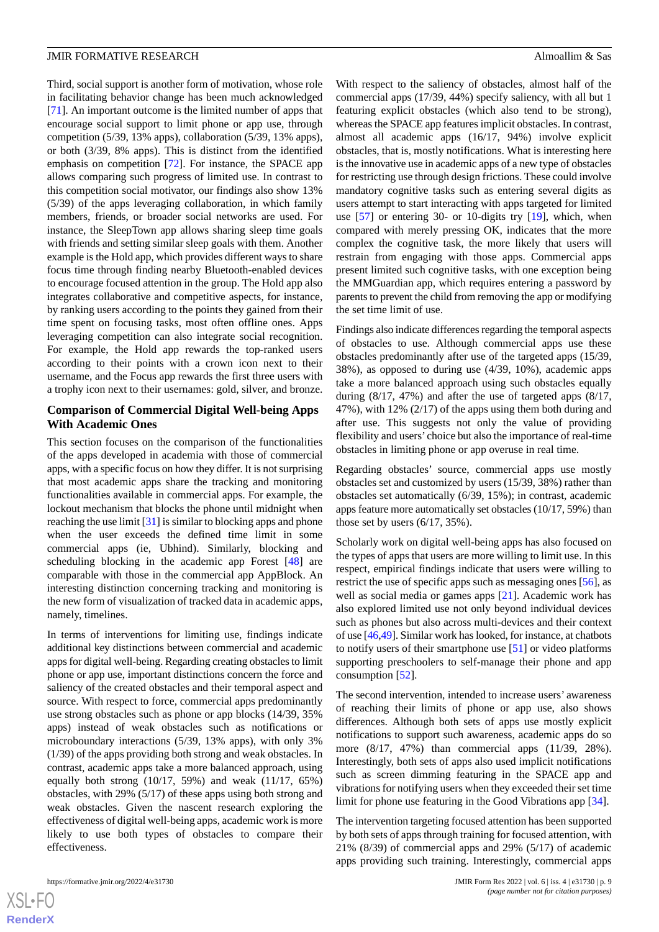Third, social support is another form of motivation, whose role in facilitating behavior change has been much acknowledged [[71\]](#page-16-6). An important outcome is the limited number of apps that encourage social support to limit phone or app use, through competition (5/39, 13% apps), collaboration (5/39, 13% apps), or both (3/39, 8% apps). This is distinct from the identified emphasis on competition [[72\]](#page-16-7). For instance, the SPACE app allows comparing such progress of limited use. In contrast to this competition social motivator, our findings also show 13% (5/39) of the apps leveraging collaboration, in which family members, friends, or broader social networks are used. For instance, the SleepTown app allows sharing sleep time goals with friends and setting similar sleep goals with them. Another example is the Hold app, which provides different ways to share focus time through finding nearby Bluetooth-enabled devices to encourage focused attention in the group. The Hold app also integrates collaborative and competitive aspects, for instance, by ranking users according to the points they gained from their time spent on focusing tasks, most often offline ones. Apps leveraging competition can also integrate social recognition. For example, the Hold app rewards the top-ranked users according to their points with a crown icon next to their username, and the Focus app rewards the first three users with a trophy icon next to their usernames: gold, silver, and bronze.

#### **Comparison of Commercial Digital Well-being Apps With Academic Ones**

This section focuses on the comparison of the functionalities of the apps developed in academia with those of commercial apps, with a specific focus on how they differ. It is not surprising that most academic apps share the tracking and monitoring functionalities available in commercial apps. For example, the lockout mechanism that blocks the phone until midnight when reaching the use limit [[31\]](#page-14-12) is similar to blocking apps and phone when the user exceeds the defined time limit in some commercial apps (ie, Ubhind). Similarly, blocking and scheduling blocking in the academic app Forest [\[48](#page-15-6)] are comparable with those in the commercial app AppBlock. An interesting distinction concerning tracking and monitoring is the new form of visualization of tracked data in academic apps, namely, timelines.

In terms of interventions for limiting use, findings indicate additional key distinctions between commercial and academic apps for digital well-being. Regarding creating obstacles to limit phone or app use, important distinctions concern the force and saliency of the created obstacles and their temporal aspect and source. With respect to force, commercial apps predominantly use strong obstacles such as phone or app blocks (14/39, 35% apps) instead of weak obstacles such as notifications or microboundary interactions (5/39, 13% apps), with only 3% (1/39) of the apps providing both strong and weak obstacles. In contrast, academic apps take a more balanced approach, using equally both strong (10/17, 59%) and weak (11/17, 65%) obstacles, with 29% (5/17) of these apps using both strong and weak obstacles. Given the nascent research exploring the effectiveness of digital well-being apps, academic work is more likely to use both types of obstacles to compare their effectiveness.

 $XS$  • FC **[RenderX](http://www.renderx.com/)** With respect to the saliency of obstacles, almost half of the commercial apps (17/39, 44%) specify saliency, with all but 1 featuring explicit obstacles (which also tend to be strong), whereas the SPACE app features implicit obstacles. In contrast, almost all academic apps (16/17, 94%) involve explicit obstacles, that is, mostly notifications. What is interesting here is the innovative use in academic apps of a new type of obstacles for restricting use through design frictions. These could involve mandatory cognitive tasks such as entering several digits as users attempt to start interacting with apps targeted for limited use [\[57](#page-15-10)] or entering 30- or 10-digits try [[19\]](#page-14-0), which, when compared with merely pressing OK, indicates that the more complex the cognitive task, the more likely that users will restrain from engaging with those apps. Commercial apps present limited such cognitive tasks, with one exception being the MMGuardian app, which requires entering a password by parents to prevent the child from removing the app or modifying the set time limit of use.

Findings also indicate differences regarding the temporal aspects of obstacles to use. Although commercial apps use these obstacles predominantly after use of the targeted apps (15/39, 38%), as opposed to during use (4/39, 10%), academic apps take a more balanced approach using such obstacles equally during (8/17, 47%) and after the use of targeted apps (8/17, 47%), with 12% (2/17) of the apps using them both during and after use. This suggests not only the value of providing flexibility and users' choice but also the importance of real-time obstacles in limiting phone or app overuse in real time.

Regarding obstacles' source, commercial apps use mostly obstacles set and customized by users (15/39, 38%) rather than obstacles set automatically (6/39, 15%); in contrast, academic apps feature more automatically set obstacles (10/17, 59%) than those set by users (6/17, 35%).

Scholarly work on digital well-being apps has also focused on the types of apps that users are more willing to limit use. In this respect, empirical findings indicate that users were willing to restrict the use of specific apps such as messaging ones [\[56](#page-15-12)], as well as social media or games apps [[21\]](#page-14-2). Academic work has also explored limited use not only beyond individual devices such as phones but also across multi-devices and their context of use [\[46](#page-15-4)[,49](#page-15-7)]. Similar work has looked, for instance, at chatbots to notify users of their smartphone use [\[51](#page-15-9)] or video platforms supporting preschoolers to self-manage their phone and app consumption [\[52](#page-15-13)].

The second intervention, intended to increase users' awareness of reaching their limits of phone or app use, also shows differences. Although both sets of apps use mostly explicit notifications to support such awareness, academic apps do so more (8/17, 47%) than commercial apps (11/39, 28%). Interestingly, both sets of apps also used implicit notifications such as screen dimming featuring in the SPACE app and vibrations for notifying users when they exceeded their set time limit for phone use featuring in the Good Vibrations app [[34\]](#page-14-15).

The intervention targeting focused attention has been supported by both sets of apps through training for focused attention, with 21% (8/39) of commercial apps and 29% (5/17) of academic apps providing such training. Interestingly, commercial apps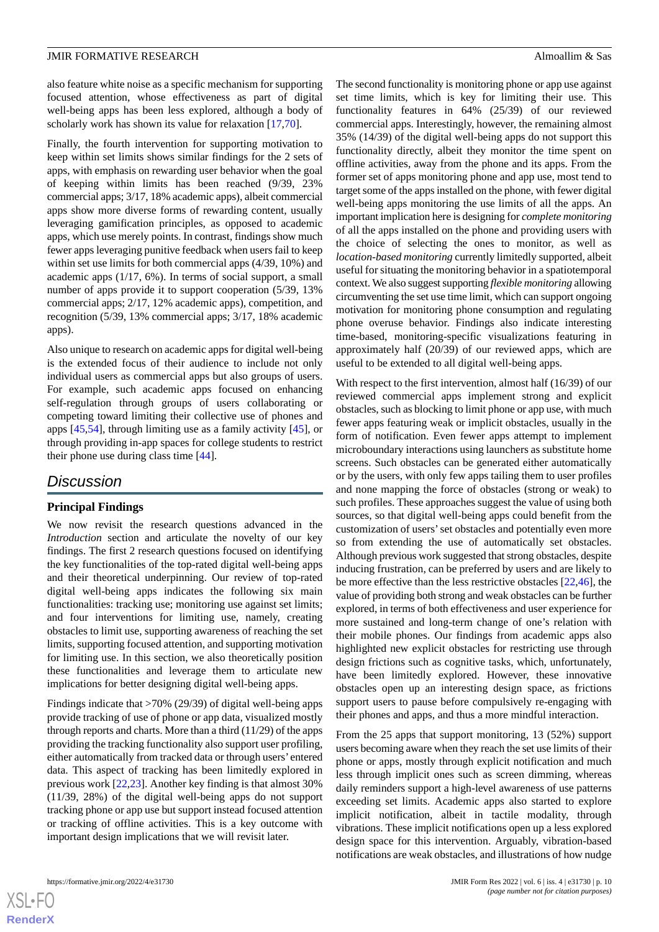also feature white noise as a specific mechanism for supporting focused attention, whose effectiveness as part of digital well-being apps has been less explored, although a body of scholarly work has shown its value for relaxation [[17,](#page-13-13)[70](#page-16-5)].

Finally, the fourth intervention for supporting motivation to keep within set limits shows similar findings for the 2 sets of apps, with emphasis on rewarding user behavior when the goal of keeping within limits has been reached (9/39, 23% commercial apps; 3/17, 18% academic apps), albeit commercial apps show more diverse forms of rewarding content, usually leveraging gamification principles, as opposed to academic apps, which use merely points. In contrast, findings show much fewer apps leveraging punitive feedback when users fail to keep within set use limits for both commercial apps (4/39, 10%) and academic apps (1/17, 6%). In terms of social support, a small number of apps provide it to support cooperation (5/39, 13% commercial apps; 2/17, 12% academic apps), competition, and recognition (5/39, 13% commercial apps; 3/17, 18% academic apps).

Also unique to research on academic apps for digital well-being is the extended focus of their audience to include not only individual users as commercial apps but also groups of users. For example, such academic apps focused on enhancing self-regulation through groups of users collaborating or competing toward limiting their collective use of phones and apps [[45](#page-15-3)[,54](#page-15-14)], through limiting use as a family activity [[45\]](#page-15-3), or through providing in-app spaces for college students to restrict their phone use during class time [\[44](#page-15-2)].

## *Discussion*

#### **Principal Findings**

We now revisit the research questions advanced in the *Introduction* section and articulate the novelty of our key findings. The first 2 research questions focused on identifying the key functionalities of the top-rated digital well-being apps and their theoretical underpinning. Our review of top-rated digital well-being apps indicates the following six main functionalities: tracking use; monitoring use against set limits; and four interventions for limiting use, namely, creating obstacles to limit use, supporting awareness of reaching the set limits, supporting focused attention, and supporting motivation for limiting use. In this section, we also theoretically position these functionalities and leverage them to articulate new implications for better designing digital well-being apps.

Findings indicate that >70% (29/39) of digital well-being apps provide tracking of use of phone or app data, visualized mostly through reports and charts. More than a third (11/29) of the apps providing the tracking functionality also support user profiling, either automatically from tracked data or through users' entered data. This aspect of tracking has been limitedly explored in previous work [\[22](#page-14-3),[23\]](#page-14-4). Another key finding is that almost 30% (11/39, 28%) of the digital well-being apps do not support tracking phone or app use but support instead focused attention or tracking of offline activities. This is a key outcome with important design implications that we will revisit later.

The second functionality is monitoring phone or app use against set time limits, which is key for limiting their use. This functionality features in 64% (25/39) of our reviewed commercial apps. Interestingly, however, the remaining almost 35% (14/39) of the digital well-being apps do not support this functionality directly, albeit they monitor the time spent on offline activities, away from the phone and its apps. From the former set of apps monitoring phone and app use, most tend to target some of the apps installed on the phone, with fewer digital well-being apps monitoring the use limits of all the apps. An important implication here is designing for *complete monitoring* of all the apps installed on the phone and providing users with the choice of selecting the ones to monitor, as well as *location-based monitoring* currently limitedly supported, albeit useful for situating the monitoring behavior in a spatiotemporal context. We also suggest supporting *flexible monitoring* allowing circumventing the set use time limit, which can support ongoing motivation for monitoring phone consumption and regulating phone overuse behavior. Findings also indicate interesting time-based, monitoring-specific visualizations featuring in approximately half (20/39) of our reviewed apps, which are useful to be extended to all digital well-being apps.

With respect to the first intervention, almost half (16/39) of our reviewed commercial apps implement strong and explicit obstacles, such as blocking to limit phone or app use, with much fewer apps featuring weak or implicit obstacles, usually in the form of notification. Even fewer apps attempt to implement microboundary interactions using launchers as substitute home screens. Such obstacles can be generated either automatically or by the users, with only few apps tailing them to user profiles and none mapping the force of obstacles (strong or weak) to such profiles. These approaches suggest the value of using both sources, so that digital well-being apps could benefit from the customization of users'set obstacles and potentially even more so from extending the use of automatically set obstacles. Although previous work suggested that strong obstacles, despite inducing frustration, can be preferred by users and are likely to be more effective than the less restrictive obstacles [[22](#page-14-3)[,46](#page-15-4)], the value of providing both strong and weak obstacles can be further explored, in terms of both effectiveness and user experience for more sustained and long-term change of one's relation with their mobile phones. Our findings from academic apps also highlighted new explicit obstacles for restricting use through design frictions such as cognitive tasks, which, unfortunately, have been limitedly explored. However, these innovative obstacles open up an interesting design space, as frictions support users to pause before compulsively re-engaging with their phones and apps, and thus a more mindful interaction.

From the 25 apps that support monitoring, 13 (52%) support users becoming aware when they reach the set use limits of their phone or apps, mostly through explicit notification and much less through implicit ones such as screen dimming, whereas daily reminders support a high-level awareness of use patterns exceeding set limits. Academic apps also started to explore implicit notification, albeit in tactile modality, through vibrations. These implicit notifications open up a less explored design space for this intervention. Arguably, vibration-based notifications are weak obstacles, and illustrations of how nudge

 $XS$  $\cdot$ FC **[RenderX](http://www.renderx.com/)**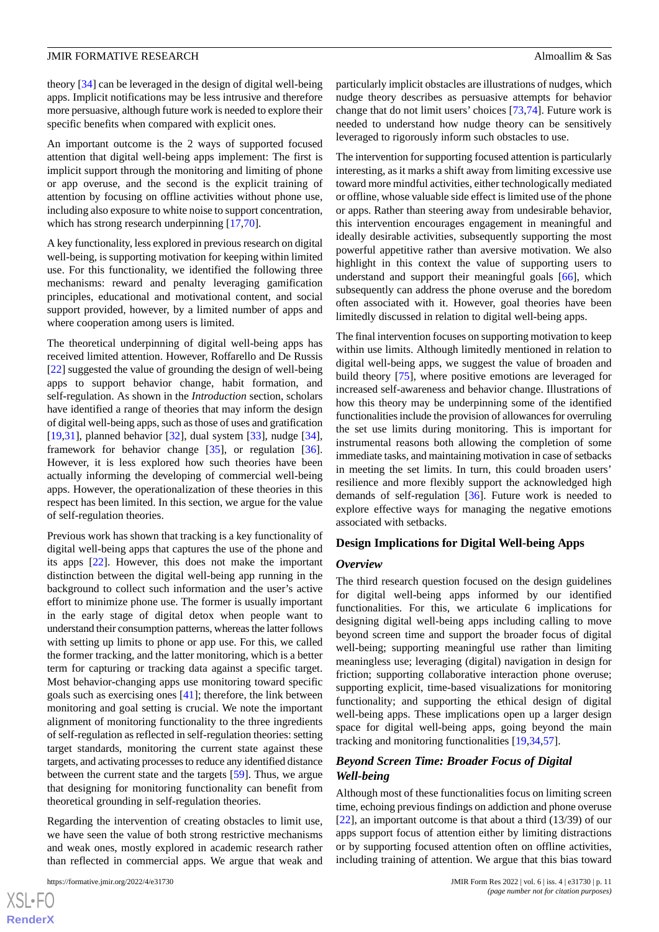theory [[34\]](#page-14-15) can be leveraged in the design of digital well-being apps. Implicit notifications may be less intrusive and therefore more persuasive, although future work is needed to explore their specific benefits when compared with explicit ones.

An important outcome is the 2 ways of supported focused attention that digital well-being apps implement: The first is implicit support through the monitoring and limiting of phone or app overuse, and the second is the explicit training of attention by focusing on offline activities without phone use, including also exposure to white noise to support concentration, which has strong research underpinning [[17](#page-13-13)[,70](#page-16-5)].

A key functionality, less explored in previous research on digital well-being, is supporting motivation for keeping within limited use. For this functionality, we identified the following three mechanisms: reward and penalty leveraging gamification principles, educational and motivational content, and social support provided, however, by a limited number of apps and where cooperation among users is limited.

The theoretical underpinning of digital well-being apps has received limited attention. However, Roffarello and De Russis [[22\]](#page-14-3) suggested the value of grounding the design of well-being apps to support behavior change, habit formation, and self-regulation. As shown in the *Introduction* section, scholars have identified a range of theories that may inform the design of digital well-being apps, such as those of uses and gratification [[19](#page-14-0)[,31](#page-14-12)], planned behavior [[32\]](#page-14-13), dual system [\[33](#page-14-14)], nudge [[34\]](#page-14-15), framework for behavior change [\[35](#page-14-16)], or regulation [[36\]](#page-14-17). However, it is less explored how such theories have been actually informing the developing of commercial well-being apps. However, the operationalization of these theories in this respect has been limited. In this section, we argue for the value of self-regulation theories.

Previous work has shown that tracking is a key functionality of digital well-being apps that captures the use of the phone and its apps [[22\]](#page-14-3). However, this does not make the important distinction between the digital well-being app running in the background to collect such information and the user's active effort to minimize phone use. The former is usually important in the early stage of digital detox when people want to understand their consumption patterns, whereas the latter follows with setting up limits to phone or app use. For this, we called the former tracking, and the latter monitoring, which is a better term for capturing or tracking data against a specific target. Most behavior-changing apps use monitoring toward specific goals such as exercising ones [[41\]](#page-14-22); therefore, the link between monitoring and goal setting is crucial. We note the important alignment of monitoring functionality to the three ingredients of self-regulation as reflected in self-regulation theories: setting target standards, monitoring the current state against these targets, and activating processes to reduce any identified distance between the current state and the targets [\[59](#page-15-15)]. Thus, we argue that designing for monitoring functionality can benefit from theoretical grounding in self-regulation theories.

Regarding the intervention of creating obstacles to limit use, we have seen the value of both strong restrictive mechanisms and weak ones, mostly explored in academic research rather than reflected in commercial apps. We argue that weak and

particularly implicit obstacles are illustrations of nudges, which nudge theory describes as persuasive attempts for behavior change that do not limit users' choices [\[73](#page-16-8),[74\]](#page-16-9). Future work is needed to understand how nudge theory can be sensitively leveraged to rigorously inform such obstacles to use.

The intervention for supporting focused attention is particularly interesting, as it marks a shift away from limiting excessive use toward more mindful activities, either technologically mediated or offline, whose valuable side effect is limited use of the phone or apps. Rather than steering away from undesirable behavior, this intervention encourages engagement in meaningful and ideally desirable activities, subsequently supporting the most powerful appetitive rather than aversive motivation. We also highlight in this context the value of supporting users to understand and support their meaningful goals [[66\]](#page-16-1), which subsequently can address the phone overuse and the boredom often associated with it. However, goal theories have been limitedly discussed in relation to digital well-being apps.

The final intervention focuses on supporting motivation to keep within use limits. Although limitedly mentioned in relation to digital well-being apps, we suggest the value of broaden and build theory [\[75](#page-16-10)], where positive emotions are leveraged for increased self-awareness and behavior change. Illustrations of how this theory may be underpinning some of the identified functionalities include the provision of allowances for overruling the set use limits during monitoring. This is important for instrumental reasons both allowing the completion of some immediate tasks, and maintaining motivation in case of setbacks in meeting the set limits. In turn, this could broaden users' resilience and more flexibly support the acknowledged high demands of self-regulation [[36\]](#page-14-17). Future work is needed to explore effective ways for managing the negative emotions associated with setbacks.

#### **Design Implications for Digital Well-being Apps**

#### *Overview*

The third research question focused on the design guidelines for digital well-being apps informed by our identified functionalities. For this, we articulate 6 implications for designing digital well-being apps including calling to move beyond screen time and support the broader focus of digital well-being; supporting meaningful use rather than limiting meaningless use; leveraging (digital) navigation in design for friction; supporting collaborative interaction phone overuse; supporting explicit, time-based visualizations for monitoring functionality; and supporting the ethical design of digital well-being apps. These implications open up a larger design space for digital well-being apps, going beyond the main tracking and monitoring functionalities [[19](#page-14-0)[,34](#page-14-15),[57\]](#page-15-10).

#### *Beyond Screen Time: Broader Focus of Digital Well-being*

Although most of these functionalities focus on limiting screen time, echoing previous findings on addiction and phone overuse [[22\]](#page-14-3), an important outcome is that about a third (13/39) of our apps support focus of attention either by limiting distractions or by supporting focused attention often on offline activities, including training of attention. We argue that this bias toward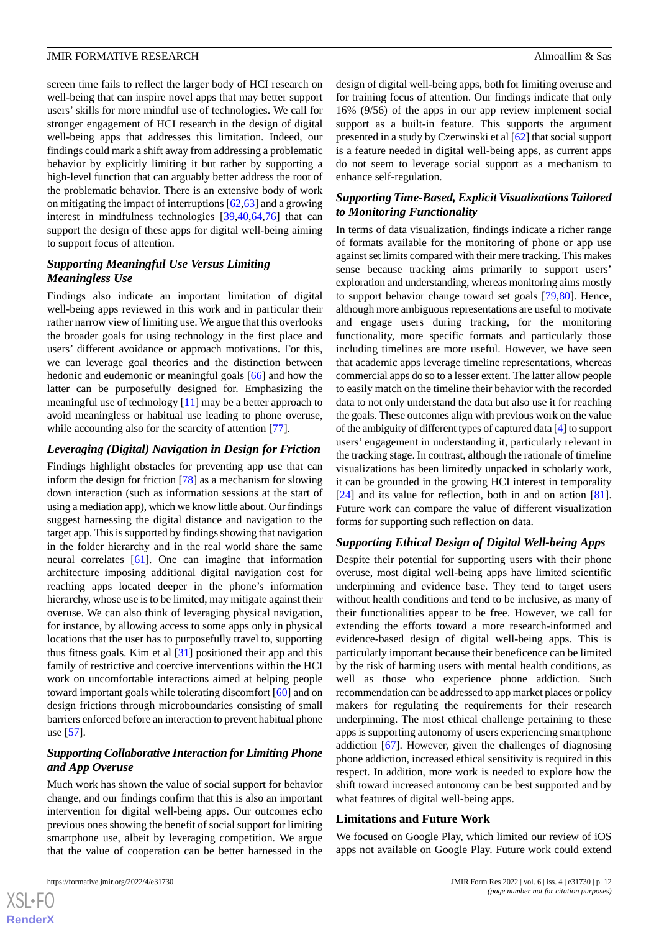screen time fails to reflect the larger body of HCI research on well-being that can inspire novel apps that may better support users' skills for more mindful use of technologies. We call for stronger engagement of HCI research in the design of digital well-being apps that addresses this limitation. Indeed, our findings could mark a shift away from addressing a problematic behavior by explicitly limiting it but rather by supporting a high-level function that can arguably better address the root of the problematic behavior. There is an extensive body of work on mitigating the impact of interruptions [[62](#page-16-11)[,63](#page-16-12)] and a growing interest in mindfulness technologies [\[39](#page-14-20),[40,](#page-14-21)[64](#page-16-13),[76\]](#page-16-14) that can support the design of these apps for digital well-being aiming to support focus of attention.

#### *Supporting Meaningful Use Versus Limiting Meaningless Use*

Findings also indicate an important limitation of digital well-being apps reviewed in this work and in particular their rather narrow view of limiting use. We argue that this overlooks the broader goals for using technology in the first place and users' different avoidance or approach motivations. For this, we can leverage goal theories and the distinction between hedonic and eudemonic or meaningful goals [[66\]](#page-16-1) and how the latter can be purposefully designed for. Emphasizing the meaningful use of technology [\[11](#page-13-7)] may be a better approach to avoid meaningless or habitual use leading to phone overuse, while accounting also for the scarcity of attention [\[77](#page-16-15)].

#### *Leveraging (Digital) Navigation in Design for Friction*

Findings highlight obstacles for preventing app use that can inform the design for friction [[78\]](#page-16-16) as a mechanism for slowing down interaction (such as information sessions at the start of using a mediation app), which we know little about. Our findings suggest harnessing the digital distance and navigation to the target app. This is supported by findings showing that navigation in the folder hierarchy and in the real world share the same neural correlates [[61\]](#page-16-17). One can imagine that information architecture imposing additional digital navigation cost for reaching apps located deeper in the phone's information hierarchy, whose use is to be limited, may mitigate against their overuse. We can also think of leveraging physical navigation, for instance, by allowing access to some apps only in physical locations that the user has to purposefully travel to, supporting thus fitness goals. Kim et al [\[31](#page-14-12)] positioned their app and this family of restrictive and coercive interventions within the HCI work on uncomfortable interactions aimed at helping people toward important goals while tolerating discomfort [[60\]](#page-15-16) and on design frictions through microboundaries consisting of small barriers enforced before an interaction to prevent habitual phone use [[57\]](#page-15-10).

#### *Supporting Collaborative Interaction for Limiting Phone and App Overuse*

Much work has shown the value of social support for behavior change, and our findings confirm that this is also an important intervention for digital well-being apps. Our outcomes echo previous ones showing the benefit of social support for limiting smartphone use, albeit by leveraging competition. We argue that the value of cooperation can be better harnessed in the

design of digital well-being apps, both for limiting overuse and for training focus of attention. Our findings indicate that only 16% (9/56) of the apps in our app review implement social support as a built-in feature. This supports the argument presented in a study by Czerwinski et al [\[62](#page-16-11)] that social support is a feature needed in digital well-being apps, as current apps do not seem to leverage social support as a mechanism to enhance self-regulation.

#### *Supporting Time-Based, Explicit Visualizations Tailored to Monitoring Functionality*

In terms of data visualization, findings indicate a richer range of formats available for the monitoring of phone or app use against set limits compared with their mere tracking. This makes sense because tracking aims primarily to support users' exploration and understanding, whereas monitoring aims mostly to support behavior change toward set goals [[79](#page-16-18)[,80](#page-16-19)]. Hence, although more ambiguous representations are useful to motivate and engage users during tracking, for the monitoring functionality, more specific formats and particularly those including timelines are more useful. However, we have seen that academic apps leverage timeline representations, whereas commercial apps do so to a lesser extent. The latter allow people to easily match on the timeline their behavior with the recorded data to not only understand the data but also use it for reaching the goals. These outcomes align with previous work on the value of the ambiguity of different types of captured data [[4\]](#page-13-16) to support users' engagement in understanding it, particularly relevant in the tracking stage. In contrast, although the rationale of timeline visualizations has been limitedly unpacked in scholarly work, it can be grounded in the growing HCI interest in temporality [[24\]](#page-14-5) and its value for reflection, both in and on action [[81\]](#page-16-20). Future work can compare the value of different visualization forms for supporting such reflection on data.

#### *Supporting Ethical Design of Digital Well-being Apps*

Despite their potential for supporting users with their phone overuse, most digital well-being apps have limited scientific underpinning and evidence base. They tend to target users without health conditions and tend to be inclusive, as many of their functionalities appear to be free. However, we call for extending the efforts toward a more research-informed and evidence-based design of digital well-being apps. This is particularly important because their beneficence can be limited by the risk of harming users with mental health conditions, as well as those who experience phone addiction. Such recommendation can be addressed to app market places or policy makers for regulating the requirements for their research underpinning. The most ethical challenge pertaining to these apps is supporting autonomy of users experiencing smartphone addiction [[67\]](#page-16-2). However, given the challenges of diagnosing phone addiction, increased ethical sensitivity is required in this respect. In addition, more work is needed to explore how the shift toward increased autonomy can be best supported and by what features of digital well-being apps.

#### **Limitations and Future Work**

We focused on Google Play, which limited our review of iOS apps not available on Google Play. Future work could extend

 $XS$  $\cdot$ FC **[RenderX](http://www.renderx.com/)**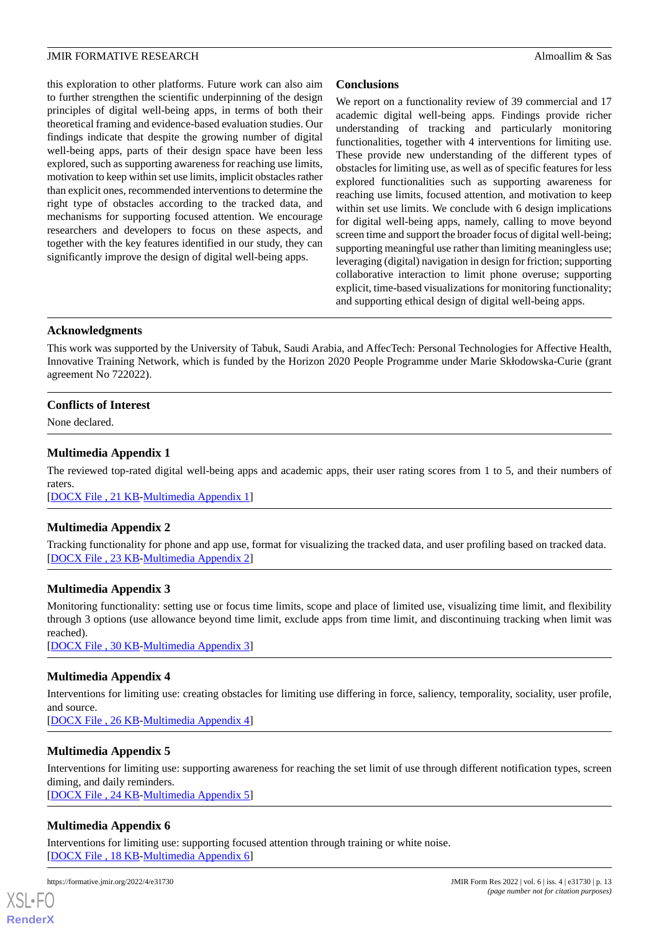this exploration to other platforms. Future work can also aim to further strengthen the scientific underpinning of the design principles of digital well-being apps, in terms of both their theoretical framing and evidence-based evaluation studies. Our findings indicate that despite the growing number of digital well-being apps, parts of their design space have been less explored, such as supporting awareness for reaching use limits, motivation to keep within set use limits, implicit obstacles rather than explicit ones, recommended interventions to determine the right type of obstacles according to the tracked data, and mechanisms for supporting focused attention. We encourage researchers and developers to focus on these aspects, and together with the key features identified in our study, they can significantly improve the design of digital well-being apps.

#### **Conclusions**

We report on a functionality review of 39 commercial and 17 academic digital well-being apps. Findings provide richer understanding of tracking and particularly monitoring functionalities, together with 4 interventions for limiting use. These provide new understanding of the different types of obstacles for limiting use, as well as of specific features for less explored functionalities such as supporting awareness for reaching use limits, focused attention, and motivation to keep within set use limits. We conclude with 6 design implications for digital well-being apps, namely, calling to move beyond screen time and support the broader focus of digital well-being; supporting meaningful use rather than limiting meaningless use; leveraging (digital) navigation in design for friction; supporting collaborative interaction to limit phone overuse; supporting explicit, time-based visualizations for monitoring functionality; and supporting ethical design of digital well-being apps.

#### **Acknowledgments**

This work was supported by the University of Tabuk, Saudi Arabia, and AffecTech: Personal Technologies for Affective Health, Innovative Training Network, which is funded by the Horizon 2020 People Programme under Marie Skłodowska-Curie (grant agreement No 722022).

#### <span id="page-12-0"></span>**Conflicts of Interest**

None declared.

#### **Multimedia Appendix 1**

<span id="page-12-1"></span>The reviewed top-rated digital well-being apps and academic apps, their user rating scores from 1 to 5, and their numbers of raters.

[[DOCX File , 21 KB](https://jmir.org/api/download?alt_name=formative_v6i4e31730_app1.docx&filename=0464ae6eb5def35a92c414f86ea0d257.docx)-[Multimedia Appendix 1\]](https://jmir.org/api/download?alt_name=formative_v6i4e31730_app1.docx&filename=0464ae6eb5def35a92c414f86ea0d257.docx)

#### <span id="page-12-2"></span>**Multimedia Appendix 2**

Tracking functionality for phone and app use, format for visualizing the tracked data, and user profiling based on tracked data. [[DOCX File , 23 KB](https://jmir.org/api/download?alt_name=formative_v6i4e31730_app2.docx&filename=48db36804a76f980040ac96d55ed118e.docx)-[Multimedia Appendix 2\]](https://jmir.org/api/download?alt_name=formative_v6i4e31730_app2.docx&filename=48db36804a76f980040ac96d55ed118e.docx)

#### **Multimedia Appendix 3**

<span id="page-12-3"></span>Monitoring functionality: setting use or focus time limits, scope and place of limited use, visualizing time limit, and flexibility through 3 options (use allowance beyond time limit, exclude apps from time limit, and discontinuing tracking when limit was reached).

[[DOCX File , 30 KB](https://jmir.org/api/download?alt_name=formative_v6i4e31730_app3.docx&filename=3eeb57ce89fe9b7c774ec088cf22e21d.docx)-[Multimedia Appendix 3\]](https://jmir.org/api/download?alt_name=formative_v6i4e31730_app3.docx&filename=3eeb57ce89fe9b7c774ec088cf22e21d.docx)

#### <span id="page-12-4"></span>**Multimedia Appendix 4**

Interventions for limiting use: creating obstacles for limiting use differing in force, saliency, temporality, sociality, user profile, and source.

[[DOCX File , 26 KB](https://jmir.org/api/download?alt_name=formative_v6i4e31730_app4.docx&filename=b28696a4adcbe6459eff142e433e866d.docx)-[Multimedia Appendix 4\]](https://jmir.org/api/download?alt_name=formative_v6i4e31730_app4.docx&filename=b28696a4adcbe6459eff142e433e866d.docx)

#### <span id="page-12-5"></span>**Multimedia Appendix 5**

Interventions for limiting use: supporting awareness for reaching the set limit of use through different notification types, screen diming, and daily reminders.

[[DOCX File , 24 KB](https://jmir.org/api/download?alt_name=formative_v6i4e31730_app5.docx&filename=f8ed45aaa5cafa0a4f9931b5a2a949d4.docx)-[Multimedia Appendix 5\]](https://jmir.org/api/download?alt_name=formative_v6i4e31730_app5.docx&filename=f8ed45aaa5cafa0a4f9931b5a2a949d4.docx)

#### **Multimedia Appendix 6**

Interventions for limiting use: supporting focused attention through training or white noise. [[DOCX File , 18 KB](https://jmir.org/api/download?alt_name=formative_v6i4e31730_app6.docx&filename=545c63f38ffc8a25f50c7eaef7e765cc.docx)-[Multimedia Appendix 6\]](https://jmir.org/api/download?alt_name=formative_v6i4e31730_app6.docx&filename=545c63f38ffc8a25f50c7eaef7e765cc.docx)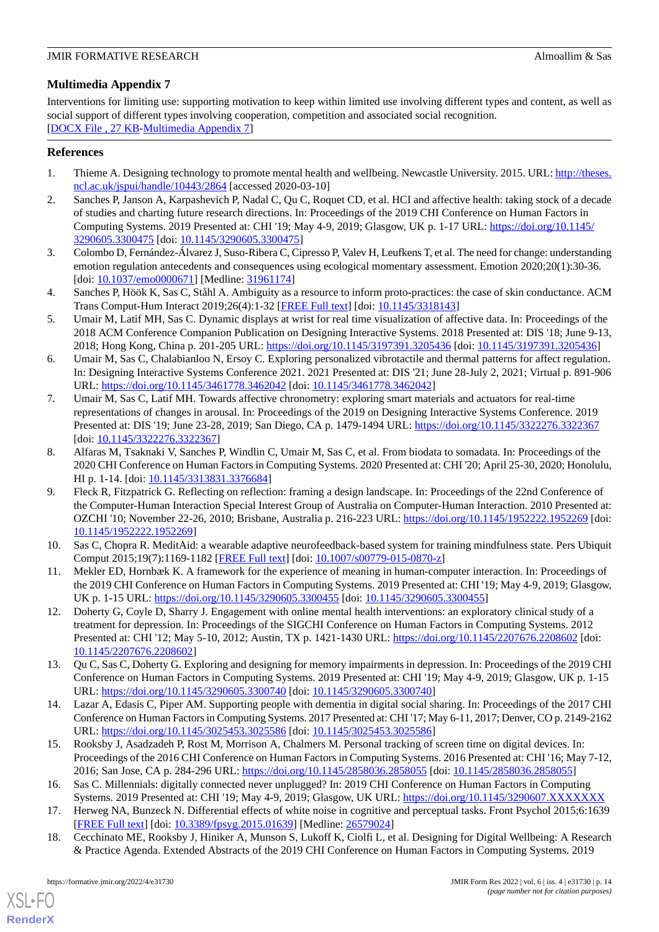#### <span id="page-13-15"></span>**Multimedia Appendix 7**

Interventions for limiting use: supporting motivation to keep within limited use involving different types and content, as well as social support of different types involving cooperation, competition and associated social recognition. [[DOCX File , 27 KB](https://jmir.org/api/download?alt_name=formative_v6i4e31730_app7.docx&filename=dc5255f31e355c48f735e17c8a58adf3.docx)-[Multimedia Appendix 7\]](https://jmir.org/api/download?alt_name=formative_v6i4e31730_app7.docx&filename=dc5255f31e355c48f735e17c8a58adf3.docx)

#### <span id="page-13-0"></span>**References**

- <span id="page-13-1"></span>1. Thieme A. Designing technology to promote mental health and wellbeing. Newcastle University. 2015. URL: [http://theses.](http://theses.ncl.ac.uk/jspui/handle/10443/2864) [ncl.ac.uk/jspui/handle/10443/2864](http://theses.ncl.ac.uk/jspui/handle/10443/2864) [accessed 2020-03-10]
- 2. Sanches P, Janson A, Karpashevich P, Nadal C, Qu C, Roquet CD, et al. HCI and affective health: taking stock of a decade of studies and charting future research directions. In: Proceedings of the 2019 CHI Conference on Human Factors in Computing Systems. 2019 Presented at: CHI '19; May 4-9, 2019; Glasgow, UK p. 1-17 URL: [https://doi.org/10.1145/](https://doi.org/10.1145/3290605.3300475) [3290605.3300475](https://doi.org/10.1145/3290605.3300475) [doi: [10.1145/3290605.3300475\]](http://dx.doi.org/10.1145/3290605.3300475)
- <span id="page-13-16"></span><span id="page-13-2"></span>3. Colombo D, Fernández-Álvarez J, Suso-Ribera C, Cipresso P, Valev H, Leufkens T, et al. The need for change: understanding emotion regulation antecedents and consequences using ecological momentary assessment. Emotion 2020;20(1):30-36. [doi: [10.1037/emo0000671](http://dx.doi.org/10.1037/emo0000671)] [Medline: [31961174](http://www.ncbi.nlm.nih.gov/entrez/query.fcgi?cmd=Retrieve&db=PubMed&list_uids=31961174&dopt=Abstract)]
- 4. Sanches P, Höök K, Sas C, Ståhl A. Ambiguity as a resource to inform proto-practices: the case of skin conductance. ACM Trans Comput-Hum Interact 2019;26(4):1-32 [[FREE Full text](https://doi.org/10.1145/3318143)] [doi: [10.1145/3318143\]](http://dx.doi.org/10.1145/3318143)
- 5. Umair M, Latif MH, Sas C. Dynamic displays at wrist for real time visualization of affective data. In: Proceedings of the 2018 ACM Conference Companion Publication on Designing Interactive Systems. 2018 Presented at: DIS '18; June 9-13, 2018; Hong Kong, China p. 201-205 URL: <https://doi.org/10.1145/3197391.3205436> [doi: [10.1145/3197391.3205436](http://dx.doi.org/10.1145/3197391.3205436)]
- <span id="page-13-3"></span>6. Umair M, Sas C, Chalabianloo N, Ersoy C. Exploring personalized vibrotactile and thermal patterns for affect regulation. In: Designing Interactive Systems Conference 2021. 2021 Presented at: DIS '21; June 28-July 2, 2021; Virtual p. 891-906 URL: <https://doi.org/10.1145/3461778.3462042> [doi: [10.1145/3461778.3462042](http://dx.doi.org/10.1145/3461778.3462042)]
- <span id="page-13-4"></span>7. Umair M, Sas C, Latif MH. Towards affective chronometry: exploring smart materials and actuators for real-time representations of changes in arousal. In: Proceedings of the 2019 on Designing Interactive Systems Conference. 2019 Presented at: DIS '19; June 23-28, 2019; San Diego, CA p. 1479-1494 URL: <https://doi.org/10.1145/3322276.3322367> [doi: [10.1145/3322276.3322367\]](http://dx.doi.org/10.1145/3322276.3322367)
- <span id="page-13-5"></span>8. Alfaras M, Tsaknaki V, Sanches P, Windlin C, Umair M, Sas C, et al. From biodata to somadata. In: Proceedings of the 2020 CHI Conference on Human Factors in Computing Systems. 2020 Presented at: CHI '20; April 25-30, 2020; Honolulu, HI p. 1-14. [doi: [10.1145/3313831.3376684](http://dx.doi.org/10.1145/3313831.3376684)]
- <span id="page-13-7"></span><span id="page-13-6"></span>9. Fleck R, Fitzpatrick G. Reflecting on reflection: framing a design landscape. In: Proceedings of the 22nd Conference of the Computer-Human Interaction Special Interest Group of Australia on Computer-Human Interaction. 2010 Presented at: OZCHI '10; November 22-26, 2010; Brisbane, Australia p. 216-223 URL: <https://doi.org/10.1145/1952222.1952269> [doi: [10.1145/1952222.1952269](http://dx.doi.org/10.1145/1952222.1952269)]
- <span id="page-13-8"></span>10. Sas C, Chopra R. MeditAid: a wearable adaptive neurofeedback-based system for training mindfulness state. Pers Ubiquit Comput 2015;19(7):1169-1182 [[FREE Full text](https://doi.org/10.1007/s00779-015-0870-z)] [doi: [10.1007/s00779-015-0870-z\]](http://dx.doi.org/10.1007/s00779-015-0870-z)
- 11. Mekler ED, Hornbæk K. A framework for the experience of meaning in human-computer interaction. In: Proceedings of the 2019 CHI Conference on Human Factors in Computing Systems. 2019 Presented at: CHI '19; May 4-9, 2019; Glasgow, UK p. 1-15 URL: <https://doi.org/10.1145/3290605.3300455> [doi: [10.1145/3290605.3300455](http://dx.doi.org/10.1145/3290605.3300455)]
- <span id="page-13-10"></span><span id="page-13-9"></span>12. Doherty G, Coyle D, Sharry J. Engagement with online mental health interventions: an exploratory clinical study of a treatment for depression. In: Proceedings of the SIGCHI Conference on Human Factors in Computing Systems. 2012 Presented at: CHI '12; May 5-10, 2012; Austin, TX p. 1421-1430 URL:<https://doi.org/10.1145/2207676.2208602> [doi: [10.1145/2207676.2208602](http://dx.doi.org/10.1145/2207676.2208602)]
- <span id="page-13-11"></span>13. Qu C, Sas C, Doherty G. Exploring and designing for memory impairments in depression. In: Proceedings of the 2019 CHI Conference on Human Factors in Computing Systems. 2019 Presented at: CHI '19; May 4-9, 2019; Glasgow, UK p. 1-15 URL: <https://doi.org/10.1145/3290605.3300740> [doi: [10.1145/3290605.3300740](http://dx.doi.org/10.1145/3290605.3300740)]
- <span id="page-13-12"></span>14. Lazar A, Edasis C, Piper AM. Supporting people with dementia in digital social sharing. In: Proceedings of the 2017 CHI Conference on Human Factors in Computing Systems. 2017 Presented at: CHI '17; May 6-11, 2017; Denver, CO p. 2149-2162 URL: <https://doi.org/10.1145/3025453.3025586> [doi: [10.1145/3025453.3025586](http://dx.doi.org/10.1145/3025453.3025586)]
- <span id="page-13-14"></span><span id="page-13-13"></span>15. Rooksby J, Asadzadeh P, Rost M, Morrison A, Chalmers M. Personal tracking of screen time on digital devices. In: Proceedings of the 2016 CHI Conference on Human Factors in Computing Systems. 2016 Presented at: CHI '16; May 7-12, 2016; San Jose, CA p. 284-296 URL:<https://doi.org/10.1145/2858036.2858055> [doi: [10.1145/2858036.2858055\]](http://dx.doi.org/10.1145/2858036.2858055)
- 16. Sas C. Millennials: digitally connected never unplugged? In: 2019 CHI Conference on Human Factors in Computing Systems. 2019 Presented at: CHI '19; May 4-9, 2019; Glasgow, UK URL:<https://doi.org/10.1145/3290607.XXXXXXX>
- 17. Herweg NA, Bunzeck N. Differential effects of white noise in cognitive and perceptual tasks. Front Psychol 2015;6:1639 [[FREE Full text](https://doi.org/10.3389/fpsyg.2015.01639)] [doi: [10.3389/fpsyg.2015.01639\]](http://dx.doi.org/10.3389/fpsyg.2015.01639) [Medline: [26579024\]](http://www.ncbi.nlm.nih.gov/entrez/query.fcgi?cmd=Retrieve&db=PubMed&list_uids=26579024&dopt=Abstract)
- 18. Cecchinato ME, Rooksby J, Hiniker A, Munson S, Lukoff K, Ciolfi L, et al. Designing for Digital Wellbeing: A Research & Practice Agenda. Extended Abstracts of the 2019 CHI Conference on Human Factors in Computing Systems. 2019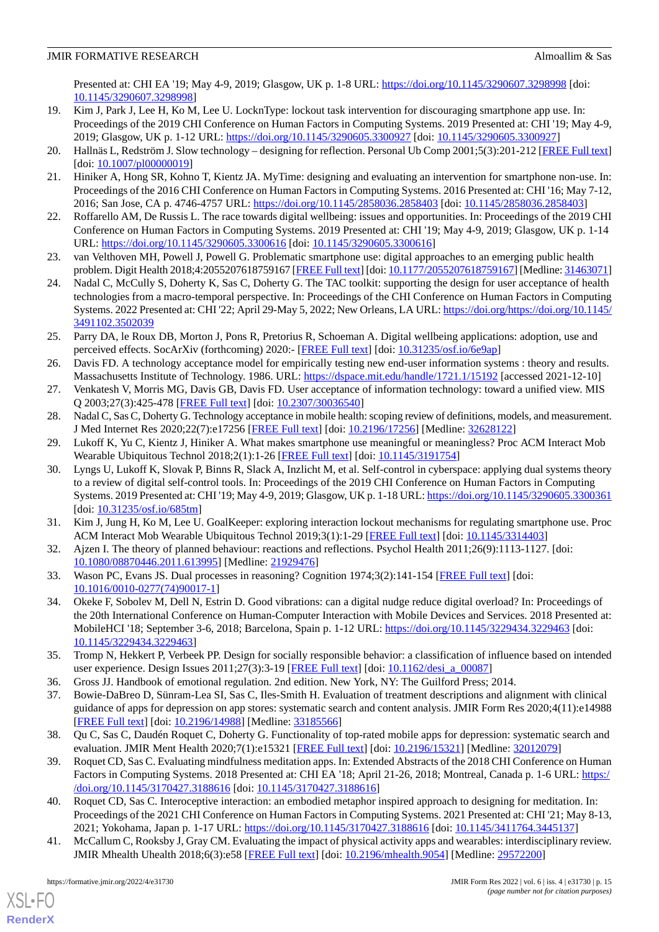Presented at: CHI EA '19; May 4-9, 2019; Glasgow, UK p. 1-8 URL:<https://doi.org/10.1145/3290607.3298998> [doi: [10.1145/3290607.3298998](http://dx.doi.org/10.1145/3290607.3298998)]

- <span id="page-14-0"></span>19. Kim J, Park J, Lee H, Ko M, Lee U. LocknType: lockout task intervention for discouraging smartphone app use. In: Proceedings of the 2019 CHI Conference on Human Factors in Computing Systems. 2019 Presented at: CHI '19; May 4-9, 2019; Glasgow, UK p. 1-12 URL:<https://doi.org/10.1145/3290605.3300927> [doi: [10.1145/3290605.3300927\]](http://dx.doi.org/10.1145/3290605.3300927)
- <span id="page-14-2"></span><span id="page-14-1"></span>20. Hallnäs L, Redström J. Slow technology – designing for reflection. Personal Ub Comp 2001;5(3):201-212 [\[FREE Full text](https://doi.org/10.1007/PL00000019)] [doi: [10.1007/pl00000019\]](http://dx.doi.org/10.1007/pl00000019)
- <span id="page-14-3"></span>21. Hiniker A, Hong SR, Kohno T, Kientz JA. MyTime: designing and evaluating an intervention for smartphone non-use. In: Proceedings of the 2016 CHI Conference on Human Factors in Computing Systems. 2016 Presented at: CHI '16; May 7-12, 2016; San Jose, CA p. 4746-4757 URL:<https://doi.org/10.1145/2858036.2858403> [doi: [10.1145/2858036.2858403\]](http://dx.doi.org/10.1145/2858036.2858403)
- <span id="page-14-4"></span>22. Roffarello AM, De Russis L. The race towards digital wellbeing: issues and opportunities. In: Proceedings of the 2019 CHI Conference on Human Factors in Computing Systems. 2019 Presented at: CHI '19; May 4-9, 2019; Glasgow, UK p. 1-14 URL: <https://doi.org/10.1145/3290605.3300616> [doi: [10.1145/3290605.3300616](http://dx.doi.org/10.1145/3290605.3300616)]
- <span id="page-14-5"></span>23. van Velthoven MH, Powell J, Powell G. Problematic smartphone use: digital approaches to an emerging public health problem. Digit Health 2018;4:2055207618759167 [[FREE Full text\]](https://journals.sagepub.com/doi/10.1177/2055207618759167?url_ver=Z39.88-2003&rfr_id=ori:rid:crossref.org&rfr_dat=cr_pub%3dpubmed) [doi: [10.1177/2055207618759167](http://dx.doi.org/10.1177/2055207618759167)] [Medline: [31463071\]](http://www.ncbi.nlm.nih.gov/entrez/query.fcgi?cmd=Retrieve&db=PubMed&list_uids=31463071&dopt=Abstract)
- <span id="page-14-6"></span>24. Nadal C, McCully S, Doherty K, Sas C, Doherty G. The TAC toolkit: supporting the design for user acceptance of health technologies from a macro-temporal perspective. In: Proceedings of the CHI Conference on Human Factors in Computing Systems. 2022 Presented at: CHI '22; April 29-May 5, 2022; New Orleans, LA URL: [https://doi.org/https://doi.org/10.1145/](https://doi.org/https://doi.org/10.1145/3491102.3502039) [3491102.3502039](https://doi.org/https://doi.org/10.1145/3491102.3502039)
- <span id="page-14-7"></span>25. Parry DA, le Roux DB, Morton J, Pons R, Pretorius R, Schoeman A. Digital wellbeing applications: adoption, use and perceived effects. SocArXiv (forthcoming) 2020:- [\[FREE Full text\]](https://doi.org/10.31235/OSF.IO/6E9AP) [doi: [10.31235/osf.io/6e9ap](http://dx.doi.org/10.31235/osf.io/6e9ap)]
- <span id="page-14-9"></span><span id="page-14-8"></span>26. Davis FD. A technology acceptance model for empirically testing new end-user information systems : theory and results. Massachusetts Institute of Technology. 1986. URL: <https://dspace.mit.edu/handle/1721.1/15192> [accessed 2021-12-10]
- <span id="page-14-10"></span>27. Venkatesh V, Morris MG, Davis GB, Davis FD. User acceptance of information technology: toward a unified view. MIS Q 2003;27(3):425-478 [[FREE Full text](https://doi.org/10.2307/30036540)] [doi: [10.2307/30036540\]](http://dx.doi.org/10.2307/30036540)
- <span id="page-14-11"></span>28. Nadal C, Sas C, Doherty G. Technology acceptance in mobile health: scoping review of definitions, models, and measurement. J Med Internet Res 2020;22(7):e17256 [\[FREE Full text\]](https://www.jmir.org/2020/7/e17256/) [doi: [10.2196/17256](http://dx.doi.org/10.2196/17256)] [Medline: [32628122](http://www.ncbi.nlm.nih.gov/entrez/query.fcgi?cmd=Retrieve&db=PubMed&list_uids=32628122&dopt=Abstract)]
- 29. Lukoff K, Yu C, Kientz J, Hiniker A. What makes smartphone use meaningful or meaningless? Proc ACM Interact Mob Wearable Ubiquitous Technol 2018;2(1):1-26 [\[FREE Full text\]](https://doi.org/10.1145/3191754) [doi: [10.1145/3191754](http://dx.doi.org/10.1145/3191754)]
- <span id="page-14-13"></span><span id="page-14-12"></span>30. Lyngs U, Lukoff K, Slovak P, Binns R, Slack A, Inzlicht M, et al. Self-control in cyberspace: applying dual systems theory to a review of digital self-control tools. In: Proceedings of the 2019 CHI Conference on Human Factors in Computing Systems. 2019 Presented at: CHI '19; May 4-9, 2019; Glasgow, UK p. 1-18 URL:<https://doi.org/10.1145/3290605.3300361> [doi: [10.31235/osf.io/685tm](http://dx.doi.org/10.31235/osf.io/685tm)]
- <span id="page-14-14"></span>31. Kim J, Jung H, Ko M, Lee U. GoalKeeper: exploring interaction lockout mechanisms for regulating smartphone use. Proc ACM Interact Mob Wearable Ubiquitous Technol 2019;3(1):1-29 [[FREE Full text](https://doi.org/10.1145/3314403)] [doi: [10.1145/3314403\]](http://dx.doi.org/10.1145/3314403)
- <span id="page-14-15"></span>32. Ajzen I. The theory of planned behaviour: reactions and reflections. Psychol Health 2011;26(9):1113-1127. [doi: [10.1080/08870446.2011.613995\]](http://dx.doi.org/10.1080/08870446.2011.613995) [Medline: [21929476\]](http://www.ncbi.nlm.nih.gov/entrez/query.fcgi?cmd=Retrieve&db=PubMed&list_uids=21929476&dopt=Abstract)
- 33. Wason PC, Evans JS. Dual processes in reasoning? Cognition 1974;3(2):141-154 [\[FREE Full text\]](https://doi.org/10.1016/0010-0277(74)90017-1) [doi: [10.1016/0010-0277\(74\)90017-1](http://dx.doi.org/10.1016/0010-0277(74)90017-1)]
- <span id="page-14-18"></span><span id="page-14-17"></span><span id="page-14-16"></span>34. Okeke F, Sobolev M, Dell N, Estrin D. Good vibrations: can a digital nudge reduce digital overload? In: Proceedings of the 20th International Conference on Human-Computer Interaction with Mobile Devices and Services. 2018 Presented at: MobileHCI '18; September 3-6, 2018; Barcelona, Spain p. 1-12 URL:<https://doi.org/10.1145/3229434.3229463> [doi: [10.1145/3229434.3229463](http://dx.doi.org/10.1145/3229434.3229463)]
- <span id="page-14-19"></span>35. Tromp N, Hekkert P, Verbeek PP. Design for socially responsible behavior: a classification of influence based on intended user experience. Design Issues 2011;27(3):3-19 [[FREE Full text](https://doi.org/10.1162/DESI_A_00087)] [doi: [10.1162/desi\\_a\\_00087\]](http://dx.doi.org/10.1162/desi_a_00087)
- <span id="page-14-20"></span>36. Gross JJ. Handbook of emotional regulation. 2nd edition. New York, NY: The Guilford Press; 2014.
- 37. Bowie-DaBreo D, Sünram-Lea SI, Sas C, Iles-Smith H. Evaluation of treatment descriptions and alignment with clinical guidance of apps for depression on app stores: systematic search and content analysis. JMIR Form Res 2020;4(11):e14988 [[FREE Full text](https://formative.jmir.org/2020/11/e14988/)] [doi: [10.2196/14988\]](http://dx.doi.org/10.2196/14988) [Medline: [33185566\]](http://www.ncbi.nlm.nih.gov/entrez/query.fcgi?cmd=Retrieve&db=PubMed&list_uids=33185566&dopt=Abstract)
- <span id="page-14-21"></span>38. Qu C, Sas C, Daudén Roquet C, Doherty G. Functionality of top-rated mobile apps for depression: systematic search and evaluation. JMIR Ment Health 2020;7(1):e15321 [\[FREE Full text\]](https://mental.jmir.org/2020/1/e15321/) [doi: [10.2196/15321](http://dx.doi.org/10.2196/15321)] [Medline: [32012079\]](http://www.ncbi.nlm.nih.gov/entrez/query.fcgi?cmd=Retrieve&db=PubMed&list_uids=32012079&dopt=Abstract)
- <span id="page-14-22"></span>39. Roquet CD, Sas C. Evaluating mindfulness meditation apps. In: Extended Abstracts of the 2018 CHI Conference on Human Factors in Computing Systems. 2018 Presented at: CHI EA '18; April 21-26, 2018; Montreal, Canada p. 1-6 URL: [https:/](https://doi.org/10.1145/3170427.3188616) [/doi.org/10.1145/3170427.3188616](https://doi.org/10.1145/3170427.3188616) [doi: [10.1145/3170427.3188616\]](http://dx.doi.org/10.1145/3170427.3188616)
- 40. Roquet CD, Sas C. Interoceptive interaction: an embodied metaphor inspired approach to designing for meditation. In: Proceedings of the 2021 CHI Conference on Human Factors in Computing Systems. 2021 Presented at: CHI '21; May 8-13, 2021; Yokohama, Japan p. 1-17 URL: <https://doi.org/10.1145/3170427.3188616> [doi: [10.1145/3411764.3445137](http://dx.doi.org/10.1145/3411764.3445137)]
- 41. McCallum C, Rooksby J, Gray CM. Evaluating the impact of physical activity apps and wearables: interdisciplinary review. JMIR Mhealth Uhealth 2018;6(3):e58 [\[FREE Full text\]](https://mhealth.jmir.org/2018/3/e58/) [doi: [10.2196/mhealth.9054\]](http://dx.doi.org/10.2196/mhealth.9054) [Medline: [29572200\]](http://www.ncbi.nlm.nih.gov/entrez/query.fcgi?cmd=Retrieve&db=PubMed&list_uids=29572200&dopt=Abstract)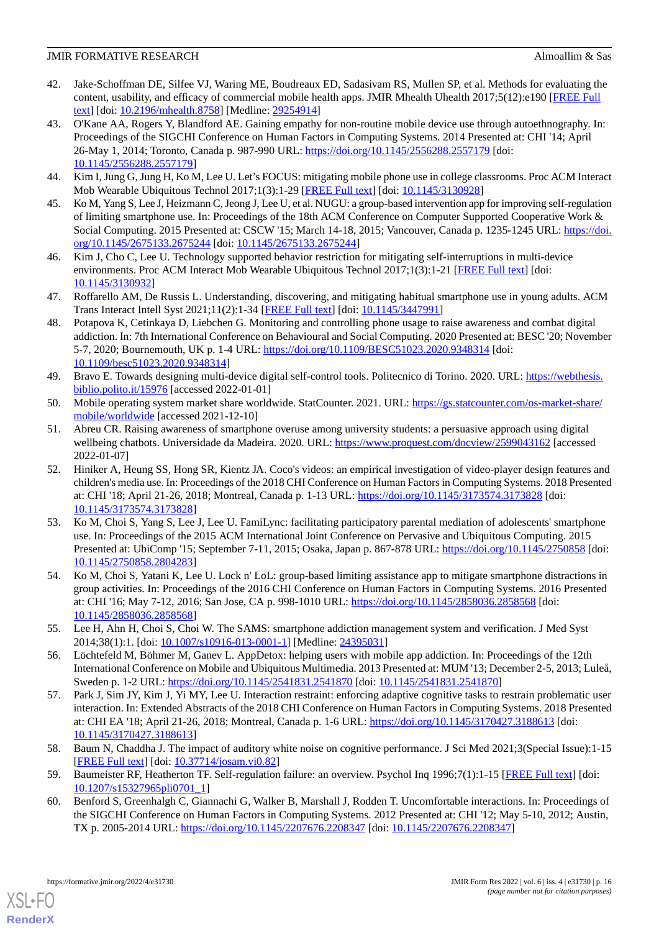- <span id="page-15-0"></span>42. Jake-Schoffman DE, Silfee VJ, Waring ME, Boudreaux ED, Sadasivam RS, Mullen SP, et al. Methods for evaluating the content, usability, and efficacy of commercial mobile health apps. JMIR Mhealth Uhealth 2017;5(12):e190 [[FREE Full](https://doi.org/10.2196/mhealth.8758) [text](https://doi.org/10.2196/mhealth.8758)] [doi: [10.2196/mhealth.8758\]](http://dx.doi.org/10.2196/mhealth.8758) [Medline: [29254914](http://www.ncbi.nlm.nih.gov/entrez/query.fcgi?cmd=Retrieve&db=PubMed&list_uids=29254914&dopt=Abstract)]
- <span id="page-15-1"></span>43. O'Kane AA, Rogers Y, Blandford AE. Gaining empathy for non-routine mobile device use through autoethnography. In: Proceedings of the SIGCHI Conference on Human Factors in Computing Systems. 2014 Presented at: CHI '14; April 26-May 1, 2014; Toronto, Canada p. 987-990 URL: <https://doi.org/10.1145/2556288.2557179> [doi: [10.1145/2556288.2557179](http://dx.doi.org/10.1145/2556288.2557179)]
- <span id="page-15-3"></span><span id="page-15-2"></span>44. Kim I, Jung G, Jung H, Ko M, Lee U. Let's FOCUS: mitigating mobile phone use in college classrooms. Proc ACM Interact Mob Wearable Ubiquitous Technol 2017;1(3):1-29 [[FREE Full text](https://doi.org/10.1145/3130928)] [doi: [10.1145/3130928\]](http://dx.doi.org/10.1145/3130928)
- 45. Ko M, Yang S, Lee J, Heizmann C, Jeong J, Lee U, et al. NUGU: a group-based intervention app for improving self-regulation of limiting smartphone use. In: Proceedings of the 18th ACM Conference on Computer Supported Cooperative Work & Social Computing. 2015 Presented at: CSCW '15; March 14-18, 2015; Vancouver, Canada p. 1235-1245 URL: [https://doi.](https://doi.org/10.1145/2675133.2675244) [org/10.1145/2675133.2675244](https://doi.org/10.1145/2675133.2675244) [doi: [10.1145/2675133.2675244\]](http://dx.doi.org/10.1145/2675133.2675244)
- <span id="page-15-5"></span><span id="page-15-4"></span>46. Kim J, Cho C, Lee U. Technology supported behavior restriction for mitigating self-interruptions in multi-device environments. Proc ACM Interact Mob Wearable Ubiquitous Technol 2017;1(3):1-21 [[FREE Full text](https://doi.org/10.1145/3130932)] [doi: [10.1145/3130932\]](http://dx.doi.org/10.1145/3130932)
- <span id="page-15-6"></span>47. Roffarello AM, De Russis L. Understanding, discovering, and mitigating habitual smartphone use in young adults. ACM Trans Interact Intell Syst 2021;11(2):1-34 [\[FREE Full text\]](https://doi.org/10.1145/3447991) [doi: [10.1145/3447991](http://dx.doi.org/10.1145/3447991)]
- <span id="page-15-7"></span>48. Potapova K, Cetinkaya D, Liebchen G. Monitoring and controlling phone usage to raise awareness and combat digital addiction. In: 7th International Conference on Behavioural and Social Computing. 2020 Presented at: BESC '20; November 5-7, 2020; Bournemouth, UK p. 1-4 URL:<https://doi.org/10.1109/BESC51023.2020.9348314> [doi: [10.1109/besc51023.2020.9348314\]](http://dx.doi.org/10.1109/besc51023.2020.9348314)
- <span id="page-15-9"></span><span id="page-15-8"></span>49. Bravo E. Towards designing multi-device digital self-control tools. Politecnico di Torino. 2020. URL: [https://webthesis.](https://webthesis.biblio.polito.it/15976) [biblio.polito.it/15976](https://webthesis.biblio.polito.it/15976) [accessed 2022-01-01]
- 50. Mobile operating system market share worldwide. StatCounter. 2021. URL: [https://gs.statcounter.com/os-market-share/](https://gs.statcounter.com/os-market-share/mobile/worldwide) [mobile/worldwide](https://gs.statcounter.com/os-market-share/mobile/worldwide) [accessed 2021-12-10]
- <span id="page-15-13"></span>51. Abreu CR. Raising awareness of smartphone overuse among university students: a persuasive approach using digital wellbeing chatbots. Universidade da Madeira. 2020. URL: <https://www.proquest.com/docview/2599043162> [accessed 2022-01-07]
- 52. Hiniker A, Heung SS, Hong SR, Kientz JA. Coco's videos: an empirical investigation of video-player design features and children's media use. In: Proceedings of the 2018 CHI Conference on Human Factors in Computing Systems. 2018 Presented at: CHI '18; April 21-26, 2018; Montreal, Canada p. 1-13 URL:<https://doi.org/10.1145/3173574.3173828> [doi: [10.1145/3173574.3173828](http://dx.doi.org/10.1145/3173574.3173828)]
- <span id="page-15-14"></span>53. Ko M, Choi S, Yang S, Lee J, Lee U. FamiLync: facilitating participatory parental mediation of adolescents' smartphone use. In: Proceedings of the 2015 ACM International Joint Conference on Pervasive and Ubiquitous Computing. 2015 Presented at: UbiComp '15; September 7-11, 2015; Osaka, Japan p. 867-878 URL: <https://doi.org/10.1145/2750858> [doi: [10.1145/2750858.2804283](http://dx.doi.org/10.1145/2750858.2804283)]
- <span id="page-15-12"></span>54. Ko M, Choi S, Yatani K, Lee U. Lock n' LoL: group-based limiting assistance app to mitigate smartphone distractions in group activities. In: Proceedings of the 2016 CHI Conference on Human Factors in Computing Systems. 2016 Presented at: CHI '16; May 7-12, 2016; San Jose, CA p. 998-1010 URL: <https://doi.org/10.1145/2858036.2858568> [doi: [10.1145/2858036.2858568](http://dx.doi.org/10.1145/2858036.2858568)]
- <span id="page-15-10"></span>55. Lee H, Ahn H, Choi S, Choi W. The SAMS: smartphone addiction management system and verification. J Med Syst 2014;38(1):1. [doi: [10.1007/s10916-013-0001-1](http://dx.doi.org/10.1007/s10916-013-0001-1)] [Medline: [24395031](http://www.ncbi.nlm.nih.gov/entrez/query.fcgi?cmd=Retrieve&db=PubMed&list_uids=24395031&dopt=Abstract)]
- <span id="page-15-11"></span>56. Löchtefeld M, Böhmer M, Ganev L. AppDetox: helping users with mobile app addiction. In: Proceedings of the 12th International Conference on Mobile and Ubiquitous Multimedia. 2013 Presented at: MUM '13; December 2-5, 2013; Luleå, Sweden p. 1-2 URL: <https://doi.org/10.1145/2541831.2541870> [doi: [10.1145/2541831.2541870](http://dx.doi.org/10.1145/2541831.2541870)]
- <span id="page-15-15"></span>57. Park J, Sim JY, Kim J, Yi MY, Lee U. Interaction restraint: enforcing adaptive cognitive tasks to restrain problematic user interaction. In: Extended Abstracts of the 2018 CHI Conference on Human Factors in Computing Systems. 2018 Presented at: CHI EA '18; April 21-26, 2018; Montreal, Canada p. 1-6 URL:<https://doi.org/10.1145/3170427.3188613> [doi: [10.1145/3170427.3188613](http://dx.doi.org/10.1145/3170427.3188613)]
- <span id="page-15-16"></span>58. Baum N, Chaddha J. The impact of auditory white noise on cognitive performance. J Sci Med 2021;3(Special Issue):1-15 [[FREE Full text](https://doi.org/10.37714/JOSAM.VI0.82)] [doi: [10.37714/josam.vi0.82](http://dx.doi.org/10.37714/josam.vi0.82)]
- 59. Baumeister RF, Heatherton TF. Self-regulation failure: an overview. Psychol Inq 1996;7(1):1-15 [[FREE Full text](https://doi.org/10.1207/S15327965PLI0701_1)] [doi: [10.1207/s15327965pli0701\\_1](http://dx.doi.org/10.1207/s15327965pli0701_1)]
- 60. Benford S, Greenhalgh C, Giannachi G, Walker B, Marshall J, Rodden T. Uncomfortable interactions. In: Proceedings of the SIGCHI Conference on Human Factors in Computing Systems. 2012 Presented at: CHI '12; May 5-10, 2012; Austin, TX p. 2005-2014 URL: <https://doi.org/10.1145/2207676.2208347> [doi: [10.1145/2207676.2208347\]](http://dx.doi.org/10.1145/2207676.2208347)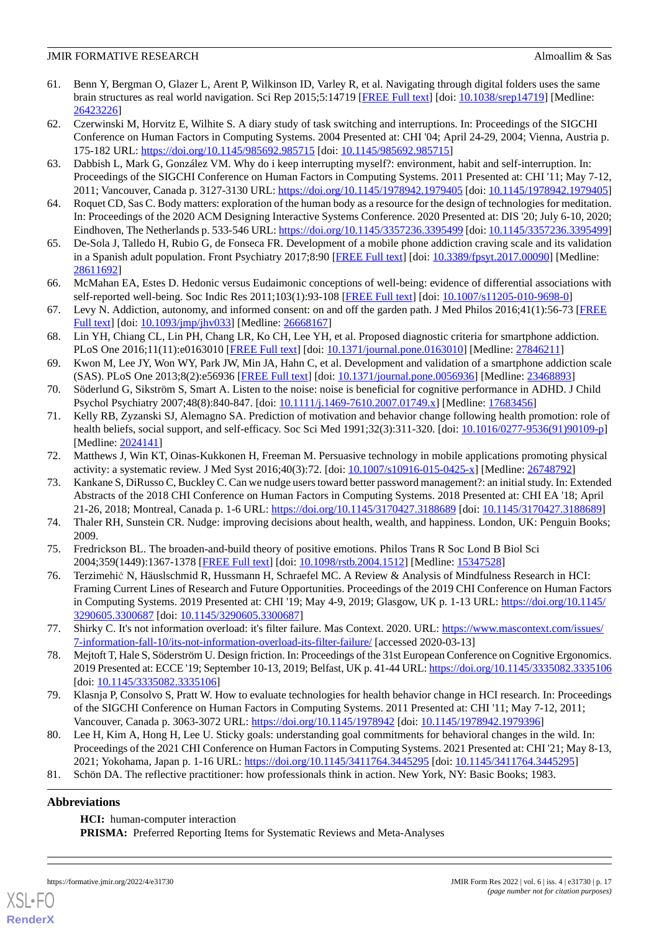- <span id="page-16-17"></span>61. Benn Y, Bergman O, Glazer L, Arent P, Wilkinson ID, Varley R, et al. Navigating through digital folders uses the same brain structures as real world navigation. Sci Rep 2015;5:14719 [\[FREE Full text\]](https://doi.org/10.1038/srep14719) [doi: [10.1038/srep14719\]](http://dx.doi.org/10.1038/srep14719) [Medline: [26423226](http://www.ncbi.nlm.nih.gov/entrez/query.fcgi?cmd=Retrieve&db=PubMed&list_uids=26423226&dopt=Abstract)]
- <span id="page-16-11"></span>62. Czerwinski M, Horvitz E, Wilhite S. A diary study of task switching and interruptions. In: Proceedings of the SIGCHI Conference on Human Factors in Computing Systems. 2004 Presented at: CHI '04; April 24-29, 2004; Vienna, Austria p. 175-182 URL: <https://doi.org/10.1145/985692.985715> [doi: [10.1145/985692.985715](http://dx.doi.org/10.1145/985692.985715)]
- <span id="page-16-12"></span>63. Dabbish L, Mark G, González VM. Why do i keep interrupting myself?: environment, habit and self-interruption. In: Proceedings of the SIGCHI Conference on Human Factors in Computing Systems. 2011 Presented at: CHI '11; May 7-12, 2011; Vancouver, Canada p. 3127-3130 URL:<https://doi.org/10.1145/1978942.1979405> [doi: [10.1145/1978942.1979405](http://dx.doi.org/10.1145/1978942.1979405)]
- <span id="page-16-13"></span><span id="page-16-0"></span>64. Roquet CD, Sas C. Body matters: exploration of the human body as a resource for the design of technologies for meditation. In: Proceedings of the 2020 ACM Designing Interactive Systems Conference. 2020 Presented at: DIS '20; July 6-10, 2020; Eindhoven, The Netherlands p. 533-546 URL:<https://doi.org/10.1145/3357236.3395499> [doi: [10.1145/3357236.3395499](http://dx.doi.org/10.1145/3357236.3395499)]
- <span id="page-16-1"></span>65. De-Sola J, Talledo H, Rubio G, de Fonseca FR. Development of a mobile phone addiction craving scale and its validation in a Spanish adult population. Front Psychiatry 2017;8:90 [[FREE Full text\]](https://doi.org/10.3389/fpsyt.2017.00090) [doi: [10.3389/fpsyt.2017.00090](http://dx.doi.org/10.3389/fpsyt.2017.00090)] [Medline: [28611692](http://www.ncbi.nlm.nih.gov/entrez/query.fcgi?cmd=Retrieve&db=PubMed&list_uids=28611692&dopt=Abstract)]
- <span id="page-16-2"></span>66. McMahan EA, Estes D. Hedonic versus Eudaimonic conceptions of well-being: evidence of differential associations with self-reported well-being. Soc Indic Res 2011;103(1):93-108 [\[FREE Full text\]](https://doi.org/10.1007/s11205-010-9698-0) [doi: [10.1007/s11205-010-9698-0](http://dx.doi.org/10.1007/s11205-010-9698-0)]
- <span id="page-16-3"></span>67. Levy N. Addiction, autonomy, and informed consent: on and off the garden path. J Med Philos 2016;41(1):56-73 [[FREE](http://europepmc.org/abstract/MED/26668167) [Full text\]](http://europepmc.org/abstract/MED/26668167) [doi: [10.1093/jmp/jhv033\]](http://dx.doi.org/10.1093/jmp/jhv033) [Medline: [26668167](http://www.ncbi.nlm.nih.gov/entrez/query.fcgi?cmd=Retrieve&db=PubMed&list_uids=26668167&dopt=Abstract)]
- <span id="page-16-4"></span>68. Lin YH, Chiang CL, Lin PH, Chang LR, Ko CH, Lee YH, et al. Proposed diagnostic criteria for smartphone addiction. PLoS One 2016;11(11):e0163010 [[FREE Full text](https://dx.plos.org/10.1371/journal.pone.0163010)] [doi: [10.1371/journal.pone.0163010\]](http://dx.doi.org/10.1371/journal.pone.0163010) [Medline: [27846211](http://www.ncbi.nlm.nih.gov/entrez/query.fcgi?cmd=Retrieve&db=PubMed&list_uids=27846211&dopt=Abstract)]
- <span id="page-16-6"></span><span id="page-16-5"></span>69. Kwon M, Lee JY, Won WY, Park JW, Min JA, Hahn C, et al. Development and validation of a smartphone addiction scale (SAS). PLoS One 2013;8(2):e56936 [[FREE Full text](https://dx.plos.org/10.1371/journal.pone.0056936)] [doi: [10.1371/journal.pone.0056936\]](http://dx.doi.org/10.1371/journal.pone.0056936) [Medline: [23468893](http://www.ncbi.nlm.nih.gov/entrez/query.fcgi?cmd=Retrieve&db=PubMed&list_uids=23468893&dopt=Abstract)]
- 70. Söderlund G, Sikström S, Smart A. Listen to the noise: noise is beneficial for cognitive performance in ADHD. J Child Psychol Psychiatry 2007;48(8):840-847. [doi: [10.1111/j.1469-7610.2007.01749.x\]](http://dx.doi.org/10.1111/j.1469-7610.2007.01749.x) [Medline: [17683456\]](http://www.ncbi.nlm.nih.gov/entrez/query.fcgi?cmd=Retrieve&db=PubMed&list_uids=17683456&dopt=Abstract)
- <span id="page-16-8"></span><span id="page-16-7"></span>71. Kelly RB, Zyzanski SJ, Alemagno SA. Prediction of motivation and behavior change following health promotion: role of health beliefs, social support, and self-efficacy. Soc Sci Med 1991;32(3):311-320. [doi: [10.1016/0277-9536\(91\)90109-p\]](http://dx.doi.org/10.1016/0277-9536(91)90109-p) [Medline: [2024141\]](http://www.ncbi.nlm.nih.gov/entrez/query.fcgi?cmd=Retrieve&db=PubMed&list_uids=2024141&dopt=Abstract)
- 72. Matthews J, Win KT, Oinas-Kukkonen H, Freeman M. Persuasive technology in mobile applications promoting physical activity: a systematic review. J Med Syst 2016;40(3):72. [doi:  $10.1007/s10916-015-0425-x$ ] [Medline: [26748792\]](http://www.ncbi.nlm.nih.gov/entrez/query.fcgi?cmd=Retrieve&db=PubMed&list_uids=26748792&dopt=Abstract)
- <span id="page-16-10"></span><span id="page-16-9"></span>73. Kankane S, DiRusso C, Buckley C. Can we nudge users toward better password management?: an initial study. In: Extended Abstracts of the 2018 CHI Conference on Human Factors in Computing Systems. 2018 Presented at: CHI EA '18; April 21-26, 2018; Montreal, Canada p. 1-6 URL:<https://doi.org/10.1145/3170427.3188689> [doi: [10.1145/3170427.3188689\]](http://dx.doi.org/10.1145/3170427.3188689)
- <span id="page-16-14"></span>74. Thaler RH, Sunstein CR. Nudge: improving decisions about health, wealth, and happiness. London, UK: Penguin Books; 2009.
- 75. Fredrickson BL. The broaden-and-build theory of positive emotions. Philos Trans R Soc Lond B Biol Sci 2004;359(1449):1367-1378 [[FREE Full text](http://europepmc.org/abstract/MED/15347528)] [doi: [10.1098/rstb.2004.1512](http://dx.doi.org/10.1098/rstb.2004.1512)] [Medline: [15347528](http://www.ncbi.nlm.nih.gov/entrez/query.fcgi?cmd=Retrieve&db=PubMed&list_uids=15347528&dopt=Abstract)]
- <span id="page-16-16"></span><span id="page-16-15"></span>76. Terzimehić N, Häuslschmid R, Hussmann H, Schraefel MC. A Review & Analysis of Mindfulness Research in HCI: Framing Current Lines of Research and Future Opportunities. Proceedings of the 2019 CHI Conference on Human Factors in Computing Systems. 2019 Presented at: CHI '19; May 4-9, 2019; Glasgow, UK p. 1-13 URL: [https://doi.org/10.1145/](https://doi.org/10.1145/3290605.3300687) [3290605.3300687](https://doi.org/10.1145/3290605.3300687) [doi: [10.1145/3290605.3300687\]](http://dx.doi.org/10.1145/3290605.3300687)
- <span id="page-16-18"></span>77. Shirky C. It's not information overload: it's filter failure. Mas Context. 2020. URL: [https://www.mascontext.com/issues/](https://www.mascontext.com/issues/7-information-fall-10/its-not-information-overload-its-filter-failure/) [7-information-fall-10/its-not-information-overload-its-filter-failure/](https://www.mascontext.com/issues/7-information-fall-10/its-not-information-overload-its-filter-failure/) [accessed 2020-03-13]
- <span id="page-16-19"></span>78. Mejtoft T, Hale S, Söderström U. Design friction. In: Proceedings of the 31st European Conference on Cognitive Ergonomics. 2019 Presented at: ECCE '19; September 10-13, 2019; Belfast, UK p. 41-44 URL:<https://doi.org/10.1145/3335082.3335106> [doi: [10.1145/3335082.3335106\]](http://dx.doi.org/10.1145/3335082.3335106)
- <span id="page-16-20"></span>79. Klasnja P, Consolvo S, Pratt W. How to evaluate technologies for health behavior change in HCI research. In: Proceedings of the SIGCHI Conference on Human Factors in Computing Systems. 2011 Presented at: CHI '11; May 7-12, 2011; Vancouver, Canada p. 3063-3072 URL:<https://doi.org/10.1145/1978942> [doi: [10.1145/1978942.1979396](http://dx.doi.org/10.1145/1978942.1979396)]
- 80. Lee H, Kim A, Hong H, Lee U. Sticky goals: understanding goal commitments for behavioral changes in the wild. In: Proceedings of the 2021 CHI Conference on Human Factors in Computing Systems. 2021 Presented at: CHI '21; May 8-13, 2021; Yokohama, Japan p. 1-16 URL: <https://doi.org/10.1145/3411764.3445295> [doi: [10.1145/3411764.3445295](http://dx.doi.org/10.1145/3411764.3445295)]
- 81. Schön DA. The reflective practitioner: how professionals think in action. New York, NY: Basic Books; 1983.

#### **Abbreviations**

[XSL](http://www.w3.org/Style/XSL)•FO **[RenderX](http://www.renderx.com/)**

**HCI:** human-computer interaction

**PRISMA:** Preferred Reporting Items for Systematic Reviews and Meta-Analyses